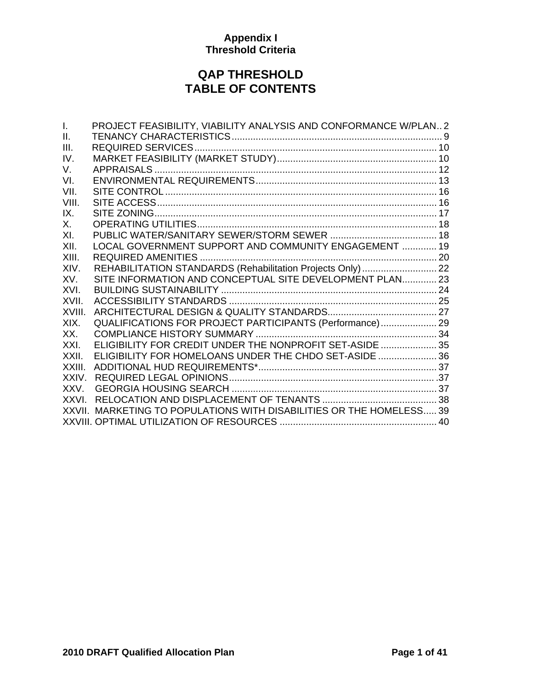# **QAP THRESHOLD TABLE OF CONTENTS**

| I.     | PROJECT FEASIBILITY, VIABILITY ANALYSIS AND CONFORMANCE W/PLAN2      |  |
|--------|----------------------------------------------------------------------|--|
| Ⅱ.     |                                                                      |  |
| III.   |                                                                      |  |
| IV.    |                                                                      |  |
| V.     |                                                                      |  |
| VI.    |                                                                      |  |
| VII.   |                                                                      |  |
| VIII.  |                                                                      |  |
| IX.    |                                                                      |  |
| Х.     |                                                                      |  |
| XI.    |                                                                      |  |
| XII.   | LOCAL GOVERNMENT SUPPORT AND COMMUNITY ENGAGEMENT  19                |  |
| XIII.  |                                                                      |  |
| XIV.   | REHABILITATION STANDARDS (Rehabilitation Projects Only)  22          |  |
| XV.    | SITE INFORMATION AND CONCEPTUAL SITE DEVELOPMENT PLAN 23             |  |
| XVI.   |                                                                      |  |
| XVII.  |                                                                      |  |
| XVIII. |                                                                      |  |
| XIX.   | QUALIFICATIONS FOR PROJECT PARTICIPANTS (Performance) 29             |  |
| XX.    |                                                                      |  |
| XXI.   | ELIGIBILITY FOR CREDIT UNDER THE NONPROFIT SET-ASIDE  35             |  |
| XXII.  | ELIGIBILITY FOR HOMELOANS UNDER THE CHDO SET-ASIDE  36               |  |
| XXIII. |                                                                      |  |
| XXIV.  |                                                                      |  |
| XXV.   |                                                                      |  |
| XXVI.  |                                                                      |  |
|        | XXVII. MARKETING TO POPULATIONS WITH DISABILITIES OR THE HOMELESS 39 |  |
|        |                                                                      |  |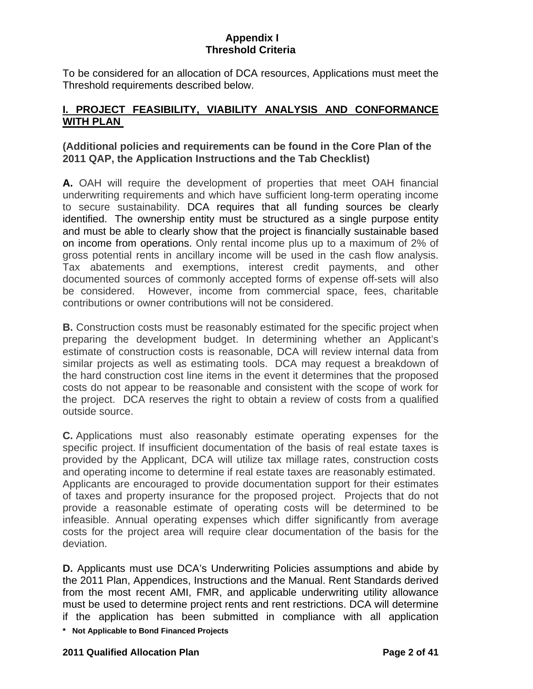<span id="page-1-0"></span>To be considered for an allocation of DCA resources, Applications must meet the Threshold requirements described below.

# **I. PROJECT FEASIBILITY, VIABILITY ANALYSIS AND CONFORMANCE WITH PLAN**

# **(Additional policies and requirements can be found in the Core Plan of the 2011 QAP, the Application Instructions and the Tab Checklist)**

**A.** OAH will require the development of properties that meet OAH financial underwriting requirements and which have sufficient long-term operating income to secure sustainability. DCA requires that all funding sources be clearly identified. The ownership entity must be structured as a single purpose entity and must be able to clearly show that the project is financially sustainable based on income from operations. Only rental income plus up to a maximum of 2% of gross potential rents in ancillary income will be used in the cash flow analysis. Tax abatements and exemptions, interest credit payments, and other documented sources of commonly accepted forms of expense off-sets will also be considered. However, income from commercial space, fees, charitable contributions or owner contributions will not be considered.

**B.** Construction costs must be reasonably estimated for the specific project when preparing the development budget. In determining whether an Applicant's estimate of construction costs is reasonable, DCA will review internal data from similar projects as well as estimating tools. DCA may request a breakdown of the hard construction cost line items in the event it determines that the proposed costs do not appear to be reasonable and consistent with the scope of work for the project. DCA reserves the right to obtain a review of costs from a qualified outside source.

**C.** Applications must also reasonably estimate operating expenses for the specific project. If insufficient documentation of the basis of real estate taxes is provided by the Applicant, DCA will utilize tax millage rates, construction costs and operating income to determine if real estate taxes are reasonably estimated. Applicants are encouraged to provide documentation support for their estimates of taxes and property insurance for the proposed project. Projects that do not provide a reasonable estimate of operating costs will be determined to be infeasible. Annual operating expenses which differ significantly from average costs for the project area will require clear documentation of the basis for the deviation.

**D.** Applicants must use DCA's Underwriting Policies assumptions and abide by the 2011 Plan, Appendices, Instructions and the Manual. Rent Standards derived from the most recent AMI, FMR, and applicable underwriting utility allowance must be used to determine project rents and rent restrictions. DCA will determine if the application has been submitted in compliance with all application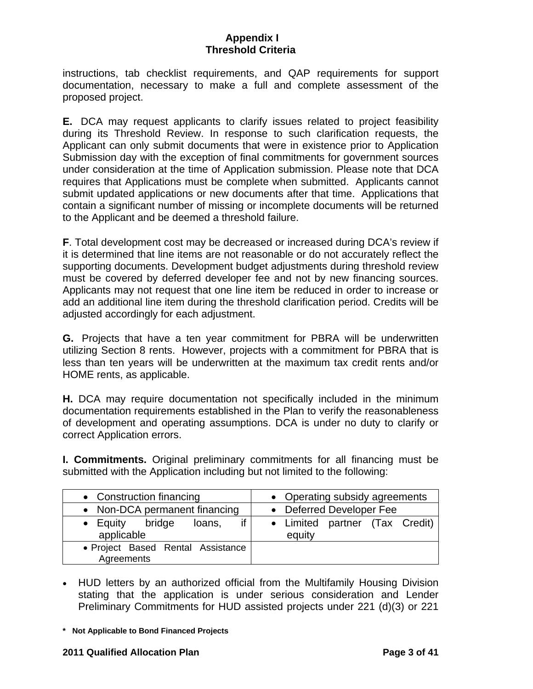instructions, tab checklist requirements, and QAP requirements for support documentation, necessary to make a full and complete assessment of the proposed project.

**E.** DCA may request applicants to clarify issues related to project feasibility during its Threshold Review. In response to such clarification requests, the Applicant can only submit documents that were in existence prior to Application Submission day with the exception of final commitments for government sources under consideration at the time of Application submission. Please note that DCA requires that Applications must be complete when submitted. Applicants cannot submit updated applications or new documents after that time. Applications that contain a significant number of missing or incomplete documents will be returned to the Applicant and be deemed a threshold failure.

**F**. Total development cost may be decreased or increased during DCA's review if it is determined that line items are not reasonable or do not accurately reflect the supporting documents. Development budget adjustments during threshold review must be covered by deferred developer fee and not by new financing sources. Applicants may not request that one line item be reduced in order to increase or add an additional line item during the threshold clarification period. Credits will be adjusted accordingly for each adjustment.

**G.** Projects that have a ten year commitment for PBRA will be underwritten utilizing Section 8 rents. However, projects with a commitment for PBRA that is less than ten years will be underwritten at the maximum tax credit rents and/or HOME rents, as applicable.

**H.** DCA may require documentation not specifically included in the minimum documentation requirements established in the Plan to verify the reasonableness of development and operating assumptions. DCA is under no duty to clarify or correct Application errors.

**I. Commitments.** Original preliminary commitments for all financing must be submitted with the Application including but not limited to the following:

| • Construction financing                        | • Operating subsidy agreements           |
|-------------------------------------------------|------------------------------------------|
| • Non-DCA permanent financing                   | • Deferred Developer Fee                 |
| • Equity bridge<br>loans,<br>applicable         | • Limited partner (Tax Credit)<br>equity |
| • Project Based Rental Assistance<br>Agreements |                                          |

- HUD letters by an authorized official from the Multifamily Housing Division stating that the application is under serious consideration and Lender Preliminary Commitments for HUD assisted projects under 221 (d)(3) or 221
- **\* Not Applicable to Bond Financed Projects**

#### **2011 Qualified Allocation Plan Page 3 of 41**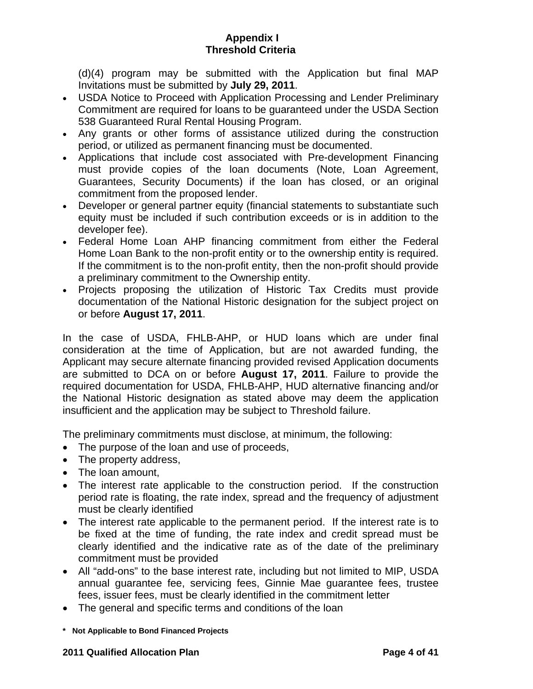(d)(4) program may be submitted with the Application but final MAP Invitations must be submitted by **July 29, 2011**.

- USDA Notice to Proceed with Application Processing and Lender Preliminary Commitment are required for loans to be guaranteed under the USDA Section 538 Guaranteed Rural Rental Housing Program.
- Any grants or other forms of assistance utilized during the construction period, or utilized as permanent financing must be documented.
- Applications that include cost associated with Pre-development Financing must provide copies of the loan documents (Note, Loan Agreement, Guarantees, Security Documents) if the loan has closed, or an original commitment from the proposed lender.
- Developer or general partner equity (financial statements to substantiate such equity must be included if such contribution exceeds or is in addition to the developer fee).
- Federal Home Loan AHP financing commitment from either the Federal Home Loan Bank to the non-profit entity or to the ownership entity is required. If the commitment is to the non-profit entity, then the non-profit should provide a preliminary commitment to the Ownership entity.
- Projects proposing the utilization of Historic Tax Credits must provide documentation of the National Historic designation for the subject project on or before **August 17, 2011**.

In the case of USDA, FHLB-AHP, or HUD loans which are under final consideration at the time of Application, but are not awarded funding, the Applicant may secure alternate financing provided revised Application documents are submitted to DCA on or before **August 17, 2011**. Failure to provide the required documentation for USDA, FHLB-AHP, HUD alternative financing and/or the National Historic designation as stated above may deem the application insufficient and the application may be subject to Threshold failure.

The preliminary commitments must disclose, at minimum, the following:

- The purpose of the loan and use of proceeds,
- The property address,
- The loan amount.
- The interest rate applicable to the construction period. If the construction period rate is floating, the rate index, spread and the frequency of adjustment must be clearly identified
- The interest rate applicable to the permanent period. If the interest rate is to be fixed at the time of funding, the rate index and credit spread must be clearly identified and the indicative rate as of the date of the preliminary commitment must be provided
- All "add-ons" to the base interest rate, including but not limited to MIP, USDA annual guarantee fee, servicing fees, Ginnie Mae guarantee fees, trustee fees, issuer fees, must be clearly identified in the commitment letter
- The general and specific terms and conditions of the loan
- **\* Not Applicable to Bond Financed Projects**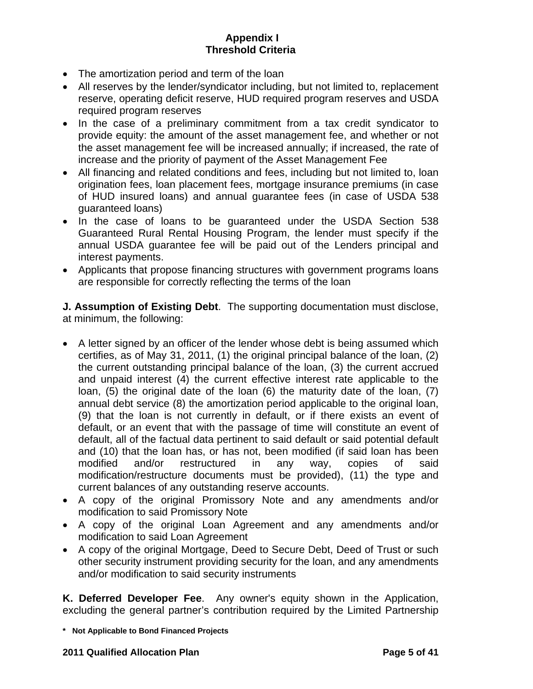- The amortization period and term of the loan
- All reserves by the lender/syndicator including, but not limited to, replacement reserve, operating deficit reserve, HUD required program reserves and USDA required program reserves
- In the case of a preliminary commitment from a tax credit syndicator to provide equity: the amount of the asset management fee, and whether or not the asset management fee will be increased annually; if increased, the rate of increase and the priority of payment of the Asset Management Fee
- All financing and related conditions and fees, including but not limited to, loan origination fees, loan placement fees, mortgage insurance premiums (in case of HUD insured loans) and annual guarantee fees (in case of USDA 538 guaranteed loans)
- In the case of loans to be guaranteed under the USDA Section 538 Guaranteed Rural Rental Housing Program, the lender must specify if the annual USDA guarantee fee will be paid out of the Lenders principal and interest payments.
- Applicants that propose financing structures with government programs loans are responsible for correctly reflecting the terms of the loan

**J. Assumption of Existing Debt**. The supporting documentation must disclose, at minimum, the following:

- A letter signed by an officer of the lender whose debt is being assumed which certifies, as of May 31, 2011, (1) the original principal balance of the loan, (2) the current outstanding principal balance of the loan, (3) the current accrued and unpaid interest (4) the current effective interest rate applicable to the loan, (5) the original date of the loan (6) the maturity date of the loan, (7) annual debt service (8) the amortization period applicable to the original loan, (9) that the loan is not currently in default, or if there exists an event of default, or an event that with the passage of time will constitute an event of default, all of the factual data pertinent to said default or said potential default and (10) that the loan has, or has not, been modified (if said loan has been modified and/or restructured in any way, copies of said modification/restructure documents must be provided), (11) the type and current balances of any outstanding reserve accounts.
- A copy of the original Promissory Note and any amendments and/or modification to said Promissory Note
- A copy of the original Loan Agreement and any amendments and/or modification to said Loan Agreement
- A copy of the original Mortgage, Deed to Secure Debt, Deed of Trust or such other security instrument providing security for the loan, and any amendments and/or modification to said security instruments

**K. Deferred Developer Fee**. Any owner's equity shown in the Application, excluding the general partner's contribution required by the Limited Partnership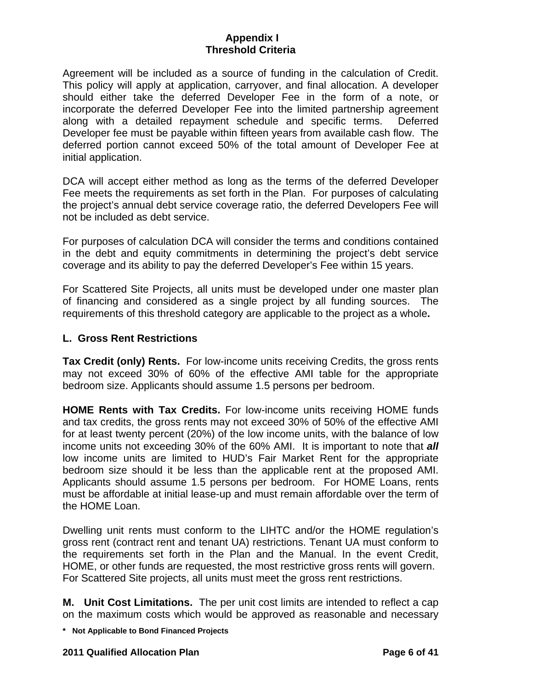Agreement will be included as a source of funding in the calculation of Credit. This policy will apply at application, carryover, and final allocation. A developer should either take the deferred Developer Fee in the form of a note, or incorporate the deferred Developer Fee into the limited partnership agreement along with a detailed repayment schedule and specific terms. Deferred Developer fee must be payable within fifteen years from available cash flow. The deferred portion cannot exceed 50% of the total amount of Developer Fee at initial application.

DCA will accept either method as long as the terms of the deferred Developer Fee meets the requirements as set forth in the Plan. For purposes of calculating the project's annual debt service coverage ratio, the deferred Developers Fee will not be included as debt service.

For purposes of calculation DCA will consider the terms and conditions contained in the debt and equity commitments in determining the project's debt service coverage and its ability to pay the deferred Developer's Fee within 15 years.

For Scattered Site Projects, all units must be developed under one master plan of financing and considered as a single project by all funding sources. The requirements of this threshold category are applicable to the project as a whole**.** 

### **L. Gross Rent Restrictions**

**Tax Credit (only) Rents.** For low-income units receiving Credits, the gross rents may not exceed 30% of 60% of the effective AMI table for the appropriate bedroom size. Applicants should assume 1.5 persons per bedroom.

**HOME Rents with Tax Credits.** For low-income units receiving HOME funds and tax credits, the gross rents may not exceed 30% of 50% of the effective AMI for at least twenty percent (20%) of the low income units, with the balance of low income units not exceeding 30% of the 60% AMI. It is important to note that *all* low income units are limited to HUD's Fair Market Rent for the appropriate bedroom size should it be less than the applicable rent at the proposed AMI. Applicants should assume 1.5 persons per bedroom. For HOME Loans, rents must be affordable at initial lease-up and must remain affordable over the term of the HOME Loan.

Dwelling unit rents must conform to the LIHTC and/or the HOME regulation's gross rent (contract rent and tenant UA) restrictions. Tenant UA must conform to the requirements set forth in the Plan and the Manual. In the event Credit, HOME, or other funds are requested, the most restrictive gross rents will govern. For Scattered Site projects, all units must meet the gross rent restrictions.

**M. Unit Cost Limitations.** The per unit cost limits are intended to reflect a cap on the maximum costs which would be approved as reasonable and necessary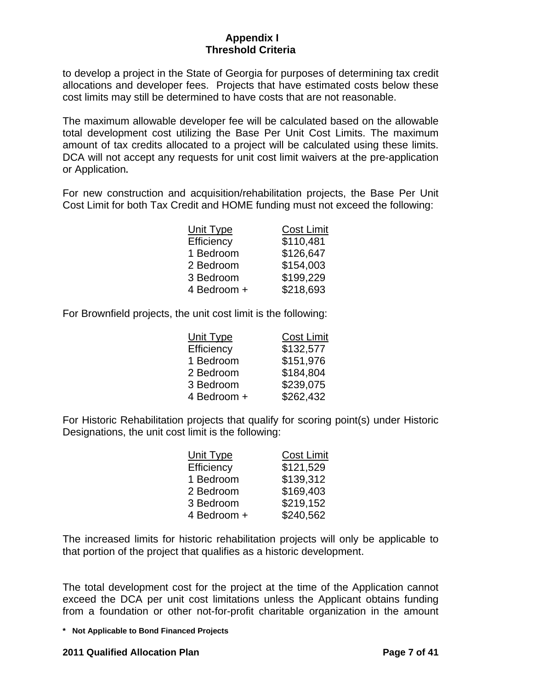to develop a project in the State of Georgia for purposes of determining tax credit allocations and developer fees. Projects that have estimated costs below these cost limits may still be determined to have costs that are not reasonable.

The maximum allowable developer fee will be calculated based on the allowable total development cost utilizing the Base Per Unit Cost Limits. The maximum amount of tax credits allocated to a project will be calculated using these limits. DCA will not accept any requests for unit cost limit waivers at the pre-application or Application**.** 

For new construction and acquisition/rehabilitation projects, the Base Per Unit Cost Limit for both Tax Credit and HOME funding must not exceed the following:

| Unit Type   | <b>Cost Limit</b> |
|-------------|-------------------|
| Efficiency  | \$110,481         |
| 1 Bedroom   | \$126,647         |
| 2 Bedroom   | \$154,003         |
| 3 Bedroom   | \$199,229         |
| 4 Bedroom + | \$218,693         |

For Brownfield projects, the unit cost limit is the following:

| Unit Type   | <b>Cost Limit</b> |
|-------------|-------------------|
| Efficiency  | \$132,577         |
| 1 Bedroom   | \$151,976         |
| 2 Bedroom   | \$184,804         |
| 3 Bedroom   | \$239,075         |
| 4 Bedroom + | \$262,432         |

For Historic Rehabilitation projects that qualify for scoring point(s) under Historic Designations, the unit cost limit is the following:

| Unit Type   | <b>Cost Limit</b> |
|-------------|-------------------|
| Efficiency  | \$121,529         |
| 1 Bedroom   | \$139,312         |
| 2 Bedroom   | \$169,403         |
| 3 Bedroom   | \$219,152         |
| 4 Bedroom + | \$240,562         |

The increased limits for historic rehabilitation projects will only be applicable to that portion of the project that qualifies as a historic development.

The total development cost for the project at the time of the Application cannot exceed the DCA per unit cost limitations unless the Applicant obtains funding from a foundation or other not-for-profit charitable organization in the amount

**\* Not Applicable to Bond Financed Projects** 

### **2011 Qualified Allocation Plan Page 7 of 41**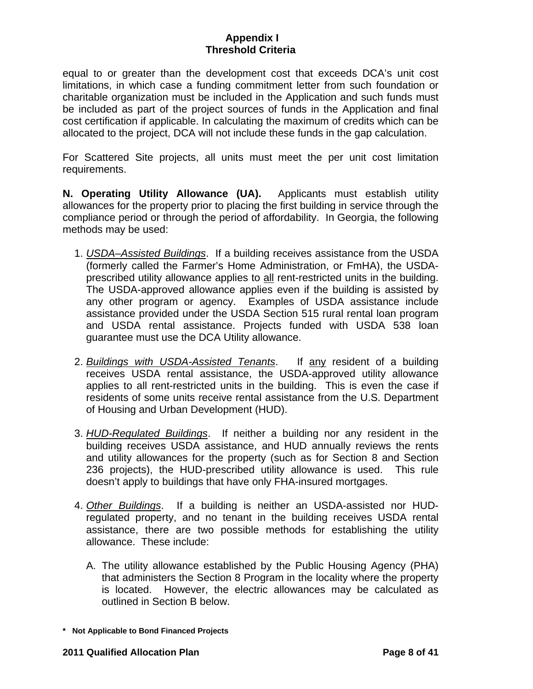equal to or greater than the development cost that exceeds DCA's unit cost limitations, in which case a funding commitment letter from such foundation or charitable organization must be included in the Application and such funds must be included as part of the project sources of funds in the Application and final cost certification if applicable. In calculating the maximum of credits which can be allocated to the project, DCA will not include these funds in the gap calculation.

For Scattered Site projects, all units must meet the per unit cost limitation requirements.

**N. Operating Utility Allowance (UA).** Applicants must establish utility allowances for the property prior to placing the first building in service through the compliance period or through the period of affordability. In Georgia, the following methods may be used:

- 1. *USDA–Assisted Buildings*. If a building receives assistance from the USDA (formerly called the Farmer's Home Administration, or FmHA), the USDAprescribed utility allowance applies to all rent-restricted units in the building. The USDA-approved allowance applies even if the building is assisted by any other program or agency. Examples of USDA assistance include assistance provided under the USDA Section 515 rural rental loan program and USDA rental assistance. Projects funded with USDA 538 loan guarantee must use the DCA Utility allowance.
- 2. *Buildings with USDA-Assisted Tenants*. If any resident of a building receives USDA rental assistance, the USDA-approved utility allowance applies to all rent-restricted units in the building. This is even the case if residents of some units receive rental assistance from the U.S. Department of Housing and Urban Development (HUD).
- 3. *HUD-Regulated Buildings*. If neither a building nor any resident in the building receives USDA assistance, and HUD annually reviews the rents and utility allowances for the property (such as for Section 8 and Section 236 projects), the HUD-prescribed utility allowance is used. This rule doesn't apply to buildings that have only FHA-insured mortgages.
- 4. *Other Buildings*. If a building is neither an USDA-assisted nor HUDregulated property, and no tenant in the building receives USDA rental assistance, there are two possible methods for establishing the utility allowance. These include:
	- A. The utility allowance established by the Public Housing Agency (PHA) that administers the Section 8 Program in the locality where the property is located. However, the electric allowances may be calculated as outlined in Section B below.

**<sup>\*</sup> Not Applicable to Bond Financed Projects**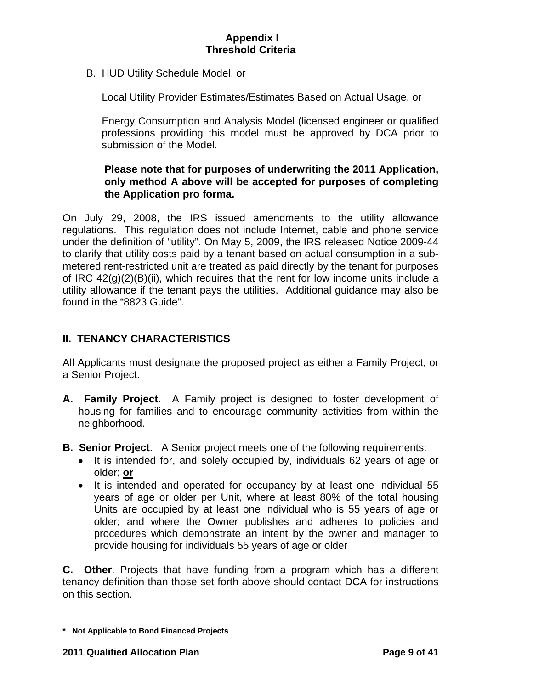<span id="page-8-0"></span>B. HUD Utility Schedule Model, or

Local Utility Provider Estimates/Estimates Based on Actual Usage, or

 Energy Consumption and Analysis Model (licensed engineer or qualified professions providing this model must be approved by DCA prior to submission of the Model.

# **Please note that for purposes of underwriting the 2011 Application, only method A above will be accepted for purposes of completing the Application pro forma.**

On July 29, 2008, the IRS issued amendments to the utility allowance regulations. This regulation does not include Internet, cable and phone service under the definition of "utility". On May 5, 2009, the IRS released Notice 2009-44 to clarify that utility costs paid by a tenant based on actual consumption in a submetered rent-restricted unit are treated as paid directly by the tenant for purposes of IRC  $42(q)(2)(B)(ii)$ , which requires that the rent for low income units include a utility allowance if the tenant pays the utilities. Additional guidance may also be found in the "8823 Guide".

# **II. TENANCY CHARACTERISTICS**

All Applicants must designate the proposed project as either a Family Project, or a Senior Project.

- **A. Family Project**. A Family project is designed to foster development of housing for families and to encourage community activities from within the neighborhood.
- **B. Senior Project**. A Senior project meets one of the following requirements:
	- It is intended for, and solely occupied by, individuals 62 years of age or older; **or**
	- It is intended and operated for occupancy by at least one individual 55 years of age or older per Unit, where at least 80% of the total housing Units are occupied by at least one individual who is 55 years of age or older; and where the Owner publishes and adheres to policies and procedures which demonstrate an intent by the owner and manager to provide housing for individuals 55 years of age or older

**C. Other**. Projects that have funding from a program which has a different tenancy definition than those set forth above should contact DCA for instructions on this section.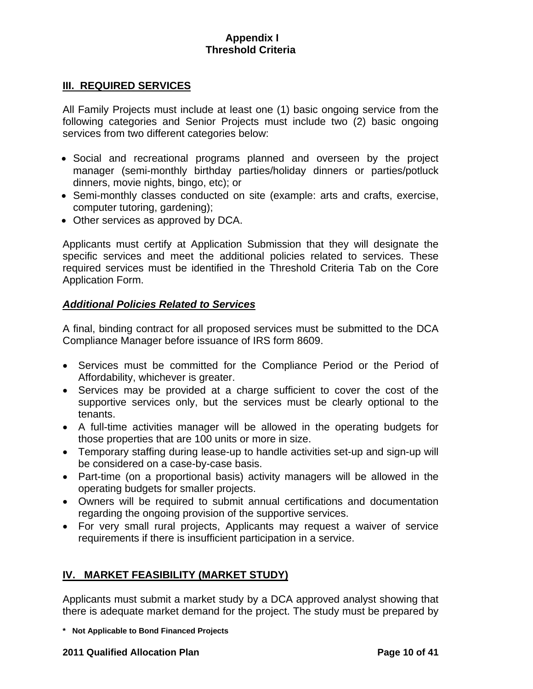### <span id="page-9-0"></span>**III. REQUIRED SERVICES**

All Family Projects must include at least one (1) basic ongoing service from the following categories and Senior Projects must include two (2) basic ongoing services from two different categories below:

- Social and recreational programs planned and overseen by the project manager (semi-monthly birthday parties/holiday dinners or parties/potluck dinners, movie nights, bingo, etc); or
- Semi-monthly classes conducted on site (example: arts and crafts, exercise, computer tutoring, gardening);
- Other services as approved by DCA.

Applicants must certify at Application Submission that they will designate the specific services and meet the additional policies related to services. These required services must be identified in the Threshold Criteria Tab on the Core Application Form.

## *Additional Policies Related to Services*

A final, binding contract for all proposed services must be submitted to the DCA Compliance Manager before issuance of IRS form 8609.

- Services must be committed for the Compliance Period or the Period of Affordability, whichever is greater.
- Services may be provided at a charge sufficient to cover the cost of the supportive services only, but the services must be clearly optional to the tenants.
- A full-time activities manager will be allowed in the operating budgets for those properties that are 100 units or more in size.
- Temporary staffing during lease-up to handle activities set-up and sign-up will be considered on a case-by-case basis.
- Part-time (on a proportional basis) activity managers will be allowed in the operating budgets for smaller projects.
- Owners will be required to submit annual certifications and documentation regarding the ongoing provision of the supportive services.
- For very small rural projects, Applicants may request a waiver of service requirements if there is insufficient participation in a service.

# **IV. MARKET FEASIBILITY (MARKET STUDY)**

Applicants must submit a market study by a DCA approved analyst showing that there is adequate market demand for the project. The study must be prepared by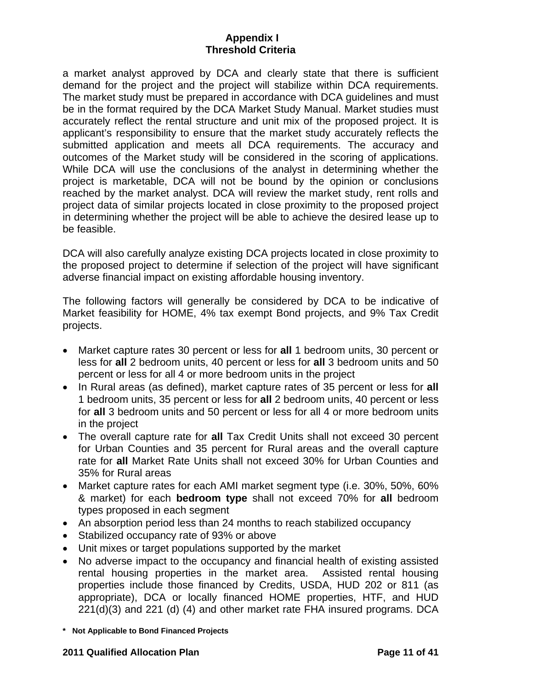a market analyst approved by DCA and clearly state that there is sufficient demand for the project and the project will stabilize within DCA requirements. The market study must be prepared in accordance with DCA guidelines and must be in the format required by the DCA Market Study Manual. Market studies must accurately reflect the rental structure and unit mix of the proposed project. It is applicant's responsibility to ensure that the market study accurately reflects the submitted application and meets all DCA requirements. The accuracy and outcomes of the Market study will be considered in the scoring of applications. While DCA will use the conclusions of the analyst in determining whether the project is marketable, DCA will not be bound by the opinion or conclusions reached by the market analyst. DCA will review the market study, rent rolls and project data of similar projects located in close proximity to the proposed project in determining whether the project will be able to achieve the desired lease up to be feasible.

DCA will also carefully analyze existing DCA projects located in close proximity to the proposed project to determine if selection of the project will have significant adverse financial impact on existing affordable housing inventory.

The following factors will generally be considered by DCA to be indicative of Market feasibility for HOME, 4% tax exempt Bond projects, and 9% Tax Credit projects.

- Market capture rates 30 percent or less for **all** 1 bedroom units, 30 percent or less for **all** 2 bedroom units, 40 percent or less for **all** 3 bedroom units and 50 percent or less for all 4 or more bedroom units in the project
- In Rural areas (as defined), market capture rates of 35 percent or less for **all** 1 bedroom units, 35 percent or less for **all** 2 bedroom units, 40 percent or less for **all** 3 bedroom units and 50 percent or less for all 4 or more bedroom units in the project
- The overall capture rate for **all** Tax Credit Units shall not exceed 30 percent for Urban Counties and 35 percent for Rural areas and the overall capture rate for **all** Market Rate Units shall not exceed 30% for Urban Counties and 35% for Rural areas
- Market capture rates for each AMI market segment type (i.e. 30%, 50%, 60% & market) for each **bedroom type** shall not exceed 70% for **all** bedroom types proposed in each segment
- An absorption period less than 24 months to reach stabilized occupancy
- Stabilized occupancy rate of 93% or above
- Unit mixes or target populations supported by the market
- No adverse impact to the occupancy and financial health of existing assisted rental housing properties in the market area. Assisted rental housing properties include those financed by Credits, USDA, HUD 202 or 811 (as appropriate), DCA or locally financed HOME properties, HTF, and HUD 221(d)(3) and 221 (d) (4) and other market rate FHA insured programs. DCA
- **\* Not Applicable to Bond Financed Projects**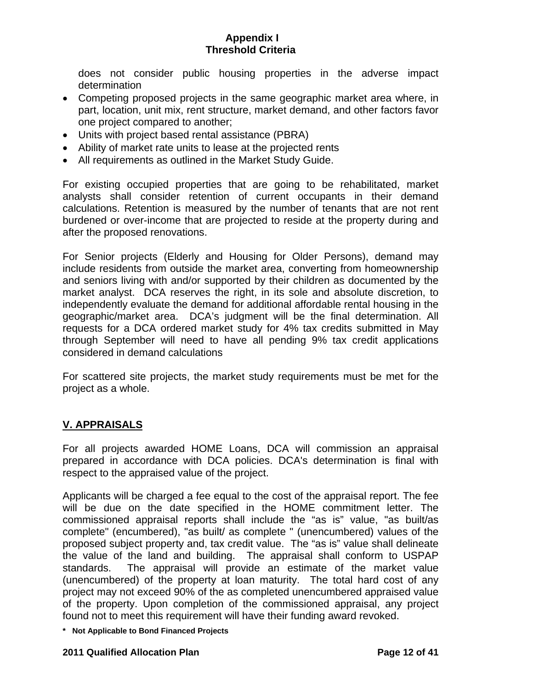<span id="page-11-0"></span>does not consider public housing properties in the adverse impact determination

- Competing proposed projects in the same geographic market area where, in part, location, unit mix, rent structure, market demand, and other factors favor one project compared to another;
- Units with project based rental assistance (PBRA)
- Ability of market rate units to lease at the projected rents
- All requirements as outlined in the Market Study Guide.

For existing occupied properties that are going to be rehabilitated, market analysts shall consider retention of current occupants in their demand calculations. Retention is measured by the number of tenants that are not rent burdened or over-income that are projected to reside at the property during and after the proposed renovations.

For Senior projects (Elderly and Housing for Older Persons), demand may include residents from outside the market area, converting from homeownership and seniors living with and/or supported by their children as documented by the market analyst. DCA reserves the right, in its sole and absolute discretion, to independently evaluate the demand for additional affordable rental housing in the geographic/market area. DCA's judgment will be the final determination. All requests for a DCA ordered market study for 4% tax credits submitted in May through September will need to have all pending 9% tax credit applications considered in demand calculations

For scattered site projects, the market study requirements must be met for the project as a whole.

# **V. APPRAISALS**

For all projects awarded HOME Loans, DCA will commission an appraisal prepared in accordance with DCA policies. DCA's determination is final with respect to the appraised value of the project.

Applicants will be charged a fee equal to the cost of the appraisal report. The fee will be due on the date specified in the HOME commitment letter. The commissioned appraisal reports shall include the "as is" value, "as built/as complete" (encumbered), "as built/ as complete " (unencumbered) values of the proposed subject property and, tax credit value. The "as is" value shall delineate the value of the land and building. The appraisal shall conform to USPAP standards. The appraisal will provide an estimate of the market value (unencumbered) of the property at loan maturity. The total hard cost of any project may not exceed 90% of the as completed unencumbered appraised value of the property. Upon completion of the commissioned appraisal, any project found not to meet this requirement will have their funding award revoked.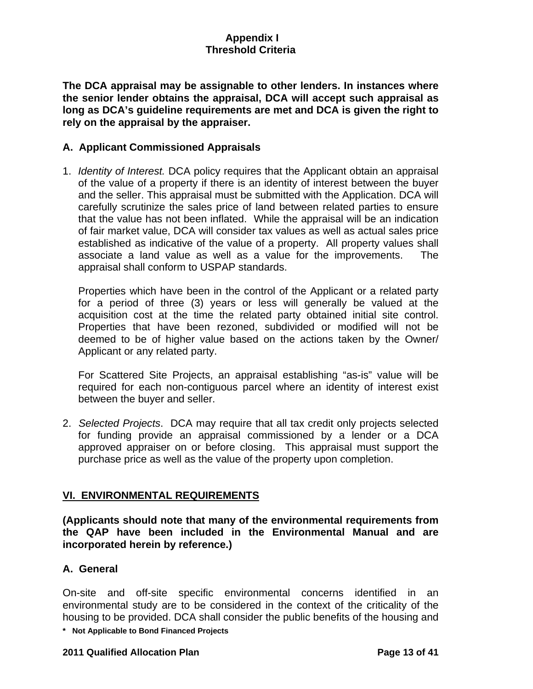<span id="page-12-0"></span>**The DCA appraisal may be assignable to other lenders. In instances where the senior lender obtains the appraisal, DCA will accept such appraisal as long as DCA's guideline requirements are met and DCA is given the right to rely on the appraisal by the appraiser.** 

## **A. Applicant Commissioned Appraisals**

1. *Identity of Interest.* DCA policy requires that the Applicant obtain an appraisal of the value of a property if there is an identity of interest between the buyer and the seller. This appraisal must be submitted with the Application. DCA will carefully scrutinize the sales price of land between related parties to ensure that the value has not been inflated. While the appraisal will be an indication of fair market value, DCA will consider tax values as well as actual sales price established as indicative of the value of a property. All property values shall associate a land value as well as a value for the improvements. The appraisal shall conform to USPAP standards.

Properties which have been in the control of the Applicant or a related party for a period of three (3) years or less will generally be valued at the acquisition cost at the time the related party obtained initial site control. Properties that have been rezoned, subdivided or modified will not be deemed to be of higher value based on the actions taken by the Owner/ Applicant or any related party.

For Scattered Site Projects, an appraisal establishing "as-is" value will be required for each non-contiguous parcel where an identity of interest exist between the buyer and seller.

2. *Selected Projects*. DCA may require that all tax credit only projects selected for funding provide an appraisal commissioned by a lender or a DCA approved appraiser on or before closing. This appraisal must support the purchase price as well as the value of the property upon completion.

# **VI. ENVIRONMENTAL REQUIREMENTS**

**(Applicants should note that many of the environmental requirements from the QAP have been included in the Environmental Manual and are incorporated herein by reference.)** 

## **A. General**

On-site and off-site specific environmental concerns identified in an environmental study are to be considered in the context of the criticality of the housing to be provided. DCA shall consider the public benefits of the housing and

**\* Not Applicable to Bond Financed Projects** 

### **2011 Qualified Allocation Plan Page 13 of 41**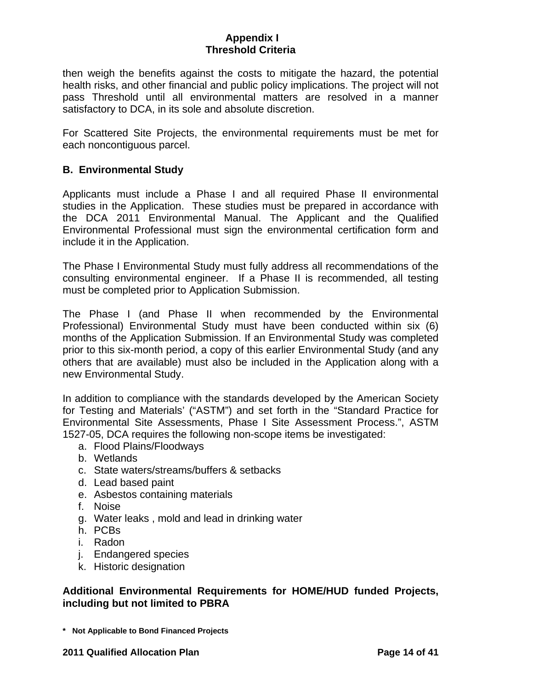then weigh the benefits against the costs to mitigate the hazard, the potential health risks, and other financial and public policy implications. The project will not pass Threshold until all environmental matters are resolved in a manner satisfactory to DCA, in its sole and absolute discretion.

For Scattered Site Projects, the environmental requirements must be met for each noncontiguous parcel.

## **B. Environmental Study**

Applicants must include a Phase I and all required Phase II environmental studies in the Application. These studies must be prepared in accordance with the DCA 2011 Environmental Manual. The Applicant and the Qualified Environmental Professional must sign the environmental certification form and include it in the Application.

The Phase I Environmental Study must fully address all recommendations of the consulting environmental engineer. If a Phase II is recommended, all testing must be completed prior to Application Submission.

The Phase I (and Phase II when recommended by the Environmental Professional) Environmental Study must have been conducted within six (6) months of the Application Submission. If an Environmental Study was completed prior to this six-month period, a copy of this earlier Environmental Study (and any others that are available) must also be included in the Application along with a new Environmental Study.

In addition to compliance with the standards developed by the American Society for Testing and Materials' ("ASTM") and set forth in the "Standard Practice for Environmental Site Assessments, Phase I Site Assessment Process.", ASTM 1527-05, DCA requires the following non-scope items be investigated:

- a. Flood Plains/Floodways
- b. Wetlands
- c. State waters/streams/buffers & setbacks
- d. Lead based paint
- e. Asbestos containing materials
- f. Noise
- g. Water leaks , mold and lead in drinking water
- h. PCBs
- i. Radon
- j. Endangered species
- k. Historic designation

### **Additional Environmental Requirements for HOME/HUD funded Projects, including but not limited to PBRA**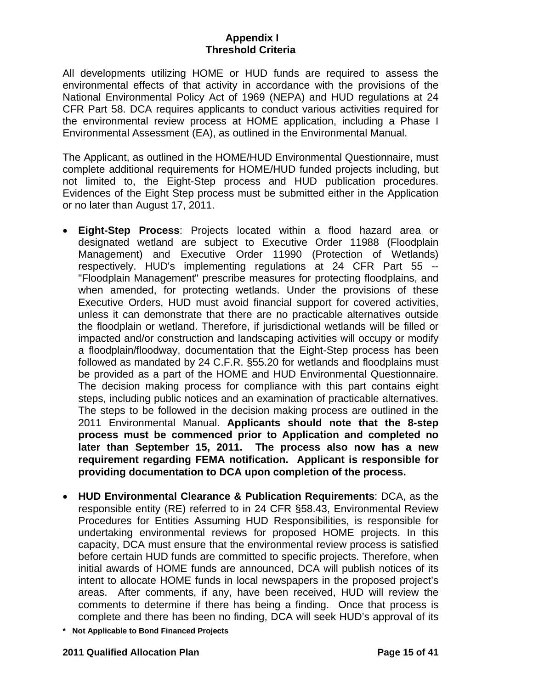All developments utilizing HOME or HUD funds are required to assess the environmental effects of that activity in accordance with the provisions of the National Environmental Policy Act of 1969 (NEPA) and HUD regulations at 24 CFR Part 58. DCA requires applicants to conduct various activities required for the environmental review process at HOME application, including a Phase I Environmental Assessment (EA), as outlined in the Environmental Manual.

The Applicant, as outlined in the HOME/HUD Environmental Questionnaire, must complete additional requirements for HOME/HUD funded projects including, but not limited to, the Eight-Step process and HUD publication procedures. Evidences of the Eight Step process must be submitted either in the Application or no later than August 17, 2011.

- **Eight-Step Process**: Projects located within a flood hazard area or designated wetland are subject to Executive Order 11988 (Floodplain Management) and Executive Order 11990 (Protection of Wetlands) respectively. HUD's implementing regulations at 24 CFR Part 55 -- "Floodplain Management" prescribe measures for protecting floodplains, and when amended, for protecting wetlands. Under the provisions of these Executive Orders, HUD must avoid financial support for covered activities, unless it can demonstrate that there are no practicable alternatives outside the floodplain or wetland. Therefore, if jurisdictional wetlands will be filled or impacted and/or construction and landscaping activities will occupy or modify a floodplain/floodway, documentation that the Eight-Step process has been followed as mandated by 24 C.F.R. §55.20 for wetlands and floodplains must be provided as a part of the HOME and HUD Environmental Questionnaire. The decision making process for compliance with this part contains eight steps, including public notices and an examination of practicable alternatives. The steps to be followed in the decision making process are outlined in the 2011 Environmental Manual. **Applicants should note that the 8-step process must be commenced prior to Application and completed no later than September 15, 2011. The process also now has a new requirement regarding FEMA notification. Applicant is responsible for providing documentation to DCA upon completion of the process.**
- **HUD Environmental Clearance & Publication Requirements**: DCA, as the responsible entity (RE) referred to in 24 CFR §58.43, Environmental Review Procedures for Entities Assuming HUD Responsibilities, is responsible for undertaking environmental reviews for proposed HOME projects. In this capacity, DCA must ensure that the environmental review process is satisfied before certain HUD funds are committed to specific projects. Therefore, when initial awards of HOME funds are announced, DCA will publish notices of its intent to allocate HOME funds in local newspapers in the proposed project's areas. After comments, if any, have been received, HUD will review the comments to determine if there has being a finding. Once that process is complete and there has been no finding, DCA will seek HUD's approval of its
- **\* Not Applicable to Bond Financed Projects**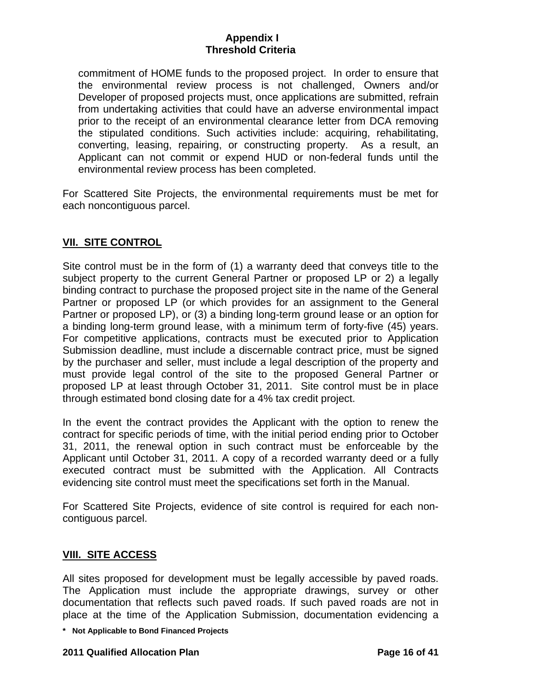<span id="page-15-0"></span>commitment of HOME funds to the proposed project. In order to ensure that the environmental review process is not challenged, Owners and/or Developer of proposed projects must, once applications are submitted, refrain from undertaking activities that could have an adverse environmental impact prior to the receipt of an environmental clearance letter from DCA removing the stipulated conditions. Such activities include: acquiring, rehabilitating, converting, leasing, repairing, or constructing property. As a result, an Applicant can not commit or expend HUD or non-federal funds until the environmental review process has been completed.

For Scattered Site Projects, the environmental requirements must be met for each noncontiguous parcel.

## **VII. SITE CONTROL**

Site control must be in the form of (1) a warranty deed that conveys title to the subject property to the current General Partner or proposed LP or 2) a legally binding contract to purchase the proposed project site in the name of the General Partner or proposed LP (or which provides for an assignment to the General Partner or proposed LP), or (3) a binding long-term ground lease or an option for a binding long-term ground lease, with a minimum term of forty-five (45) years. For competitive applications, contracts must be executed prior to Application Submission deadline, must include a discernable contract price, must be signed by the purchaser and seller, must include a legal description of the property and must provide legal control of the site to the proposed General Partner or proposed LP at least through October 31, 2011. Site control must be in place through estimated bond closing date for a 4% tax credit project.

In the event the contract provides the Applicant with the option to renew the contract for specific periods of time, with the initial period ending prior to October 31, 2011, the renewal option in such contract must be enforceable by the Applicant until October 31, 2011. A copy of a recorded warranty deed or a fully executed contract must be submitted with the Application. All Contracts evidencing site control must meet the specifications set forth in the Manual.

For Scattered Site Projects, evidence of site control is required for each noncontiguous parcel.

## **VIII. SITE ACCESS**

All sites proposed for development must be legally accessible by paved roads. The Application must include the appropriate drawings, survey or other documentation that reflects such paved roads. If such paved roads are not in place at the time of the Application Submission, documentation evidencing a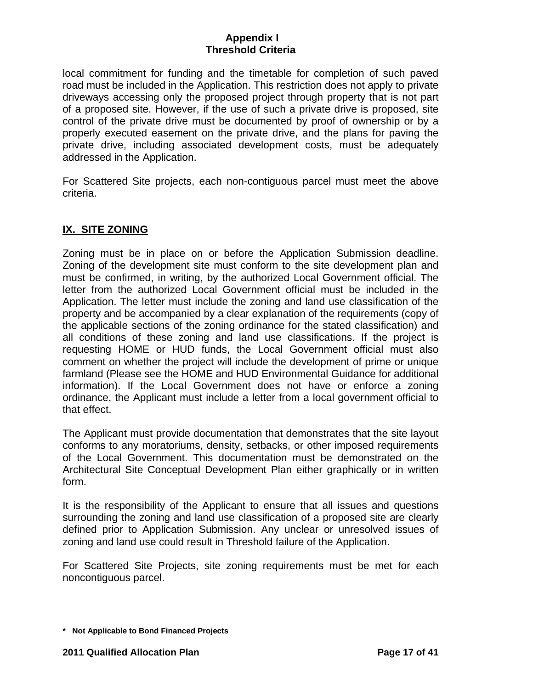<span id="page-16-0"></span>local commitment for funding and the timetable for completion of such paved road must be included in the Application. This restriction does not apply to private driveways accessing only the proposed project through property that is not part of a proposed site. However, if the use of such a private drive is proposed, site control of the private drive must be documented by proof of ownership or by a properly executed easement on the private drive, and the plans for paving the private drive, including associated development costs, must be adequately addressed in the Application.

For Scattered Site projects, each non-contiguous parcel must meet the above criteria.

# **IX. SITE ZONING**

Zoning must be in place on or before the Application Submission deadline. Zoning of the development site must conform to the site development plan and must be confirmed, in writing, by the authorized Local Government official. The letter from the authorized Local Government official must be included in the Application. The letter must include the zoning and land use classification of the property and be accompanied by a clear explanation of the requirements (copy of the applicable sections of the zoning ordinance for the stated classification) and all conditions of these zoning and land use classifications. If the project is requesting HOME or HUD funds, the Local Government official must also comment on whether the project will include the development of prime or unique farmland (Please see the HOME and HUD Environmental Guidance for additional information). If the Local Government does not have or enforce a zoning ordinance, the Applicant must include a letter from a local government official to that effect.

The Applicant must provide documentation that demonstrates that the site layout conforms to any moratoriums, density, setbacks, or other imposed requirements of the Local Government. This documentation must be demonstrated on the Architectural Site Conceptual Development Plan either graphically or in written form.

It is the responsibility of the Applicant to ensure that all issues and questions surrounding the zoning and land use classification of a proposed site are clearly defined prior to Application Submission. Any unclear or unresolved issues of zoning and land use could result in Threshold failure of the Application.

For Scattered Site Projects, site zoning requirements must be met for each noncontiguous parcel.

**<sup>\*</sup> Not Applicable to Bond Financed Projects**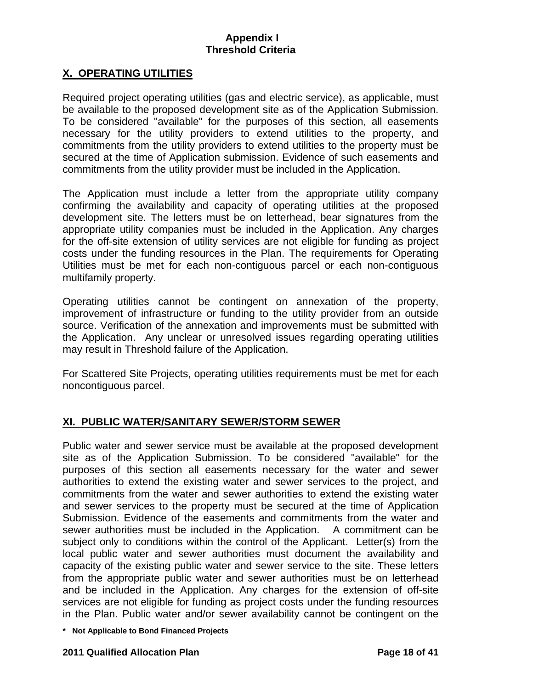# <span id="page-17-0"></span>**X. OPERATING UTILITIES**

Required project operating utilities (gas and electric service), as applicable, must be available to the proposed development site as of the Application Submission. To be considered "available" for the purposes of this section, all easements necessary for the utility providers to extend utilities to the property, and commitments from the utility providers to extend utilities to the property must be secured at the time of Application submission. Evidence of such easements and commitments from the utility provider must be included in the Application.

The Application must include a letter from the appropriate utility company confirming the availability and capacity of operating utilities at the proposed development site. The letters must be on letterhead, bear signatures from the appropriate utility companies must be included in the Application. Any charges for the off-site extension of utility services are not eligible for funding as project costs under the funding resources in the Plan. The requirements for Operating Utilities must be met for each non-contiguous parcel or each non-contiguous multifamily property.

Operating utilities cannot be contingent on annexation of the property, improvement of infrastructure or funding to the utility provider from an outside source. Verification of the annexation and improvements must be submitted with the Application. Any unclear or unresolved issues regarding operating utilities may result in Threshold failure of the Application.

For Scattered Site Projects, operating utilities requirements must be met for each noncontiguous parcel.

## **XI. PUBLIC WATER/SANITARY SEWER/STORM SEWER**

Public water and sewer service must be available at the proposed development site as of the Application Submission. To be considered "available" for the purposes of this section all easements necessary for the water and sewer authorities to extend the existing water and sewer services to the project, and commitments from the water and sewer authorities to extend the existing water and sewer services to the property must be secured at the time of Application Submission. Evidence of the easements and commitments from the water and sewer authorities must be included in the Application. A commitment can be subject only to conditions within the control of the Applicant. Letter(s) from the local public water and sewer authorities must document the availability and capacity of the existing public water and sewer service to the site. These letters from the appropriate public water and sewer authorities must be on letterhead and be included in the Application. Any charges for the extension of off-site services are not eligible for funding as project costs under the funding resources in the Plan. Public water and/or sewer availability cannot be contingent on the

**<sup>\*</sup> Not Applicable to Bond Financed Projects**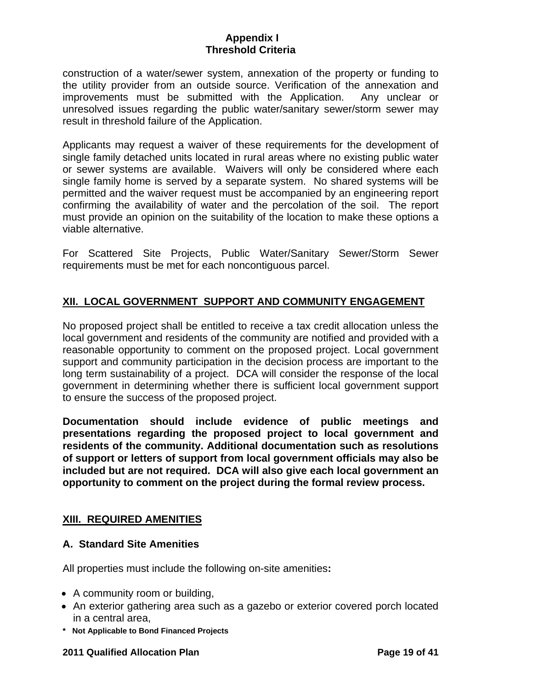<span id="page-18-0"></span>construction of a water/sewer system, annexation of the property or funding to the utility provider from an outside source. Verification of the annexation and improvements must be submitted with the Application.Any unclear or unresolved issues regarding the public water/sanitary sewer/storm sewer may result in threshold failure of the Application.

Applicants may request a waiver of these requirements for the development of single family detached units located in rural areas where no existing public water or sewer systems are available. Waivers will only be considered where each single family home is served by a separate system. No shared systems will be permitted and the waiver request must be accompanied by an engineering report confirming the availability of water and the percolation of the soil. The report must provide an opinion on the suitability of the location to make these options a viable alternative.

For Scattered Site Projects, Public Water/Sanitary Sewer/Storm Sewer requirements must be met for each noncontiguous parcel.

## **XII. LOCAL GOVERNMENT SUPPORT AND COMMUNITY ENGAGEMENT**

No proposed project shall be entitled to receive a tax credit allocation unless the local government and residents of the community are notified and provided with a reasonable opportunity to comment on the proposed project. Local government support and community participation in the decision process are important to the long term sustainability of a project. DCA will consider the response of the local government in determining whether there is sufficient local government support to ensure the success of the proposed project.

**Documentation should include evidence of public meetings and presentations regarding the proposed project to local government and residents of the community. Additional documentation such as resolutions of support or letters of support from local government officials may also be included but are not required. DCA will also give each local government an opportunity to comment on the project during the formal review process.**

## **XIII. REQUIRED AMENITIES**

## **A. Standard Site Amenities**

All properties must include the following on-site amenities**:** 

- A community room or building,
- An exterior gathering area such as a gazebo or exterior covered porch located in a central area,
- **\* Not Applicable to Bond Financed Projects**

#### **2011 Qualified Allocation Plan Page 19 of 41**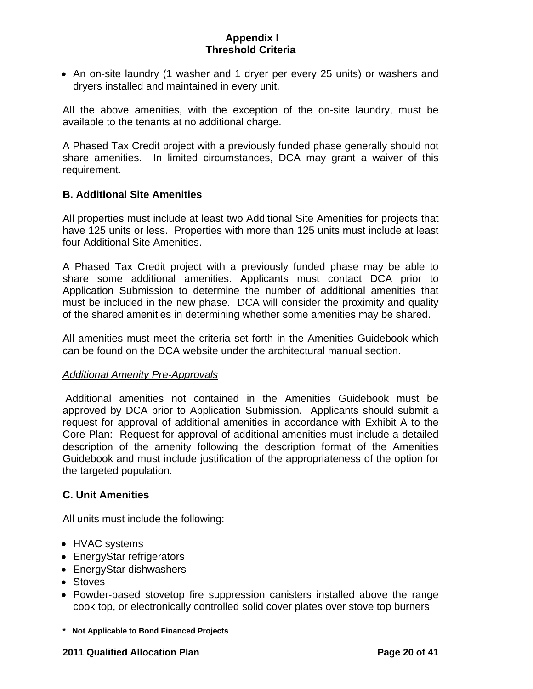• An on-site laundry (1 washer and 1 dryer per every 25 units) or washers and dryers installed and maintained in every unit.

All the above amenities, with the exception of the on-site laundry, must be available to the tenants at no additional charge.

A Phased Tax Credit project with a previously funded phase generally should not share amenities. In limited circumstances, DCA may grant a waiver of this requirement.

## **B. Additional Site Amenities**

All properties must include at least two Additional Site Amenities for projects that have 125 units or less. Properties with more than 125 units must include at least four Additional Site Amenities.

A Phased Tax Credit project with a previously funded phase may be able to share some additional amenities. Applicants must contact DCA prior to Application Submission to determine the number of additional amenities that must be included in the new phase. DCA will consider the proximity and quality of the shared amenities in determining whether some amenities may be shared.

All amenities must meet the criteria set forth in the Amenities Guidebook which can be found on the DCA website under the architectural manual section.

### *Additional Amenity Pre-Approvals*

 Additional amenities not contained in the Amenities Guidebook must be approved by DCA prior to Application Submission. Applicants should submit a request for approval of additional amenities in accordance with Exhibit A to the Core Plan: Request for approval of additional amenities must include a detailed description of the amenity following the description format of the Amenities Guidebook and must include justification of the appropriateness of the option for the targeted population.

## **C. Unit Amenities**

All units must include the following:

- HVAC systems
- EnergyStar refrigerators
- EnergyStar dishwashers
- Stoves
- Powder-based stovetop fire suppression canisters installed above the range cook top, or electronically controlled solid cover plates over stove top burners
- **\* Not Applicable to Bond Financed Projects**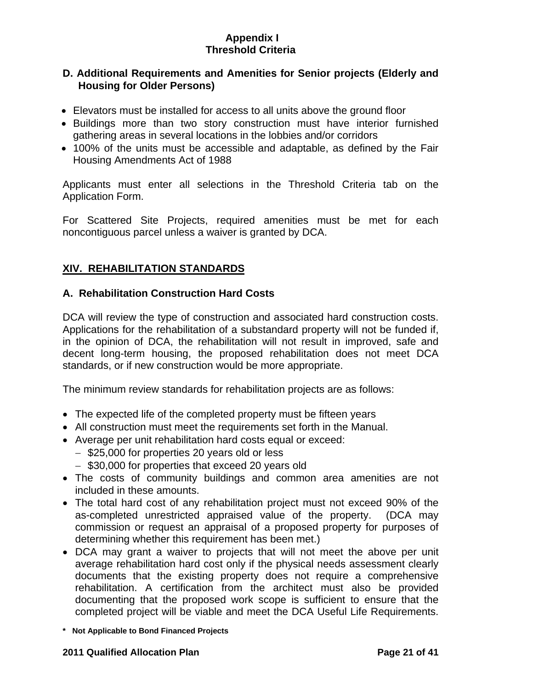# **D. Additional Requirements and Amenities for Senior projects (Elderly and Housing for Older Persons)**

- Elevators must be installed for access to all units above the ground floor
- Buildings more than two story construction must have interior furnished gathering areas in several locations in the lobbies and/or corridors
- 100% of the units must be accessible and adaptable, as defined by the Fair Housing Amendments Act of 1988

Applicants must enter all selections in the Threshold Criteria tab on the Application Form.

For Scattered Site Projects, required amenities must be met for each noncontiguous parcel unless a waiver is granted by DCA.

# **XIV. REHABILITATION STANDARDS**

# **A. Rehabilitation Construction Hard Costs**

DCA will review the type of construction and associated hard construction costs. Applications for the rehabilitation of a substandard property will not be funded if, in the opinion of DCA, the rehabilitation will not result in improved, safe and decent long-term housing, the proposed rehabilitation does not meet DCA standards, or if new construction would be more appropriate.

The minimum review standards for rehabilitation projects are as follows:

- The expected life of the completed property must be fifteen years
- All construction must meet the requirements set forth in the Manual.
- Average per unit rehabilitation hard costs equal or exceed:
	- − \$25,000 for properties 20 years old or less
	- − \$30,000 for properties that exceed 20 years old
- The costs of community buildings and common area amenities are not included in these amounts.
- The total hard cost of any rehabilitation project must not exceed 90% of the as-completed unrestricted appraised value of the property. (DCA may commission or request an appraisal of a proposed property for purposes of determining whether this requirement has been met.)
- DCA may grant a waiver to projects that will not meet the above per unit average rehabilitation hard cost only if the physical needs assessment clearly documents that the existing property does not require a comprehensive rehabilitation. A certification from the architect must also be provided documenting that the proposed work scope is sufficient to ensure that the completed project will be viable and meet the DCA Useful Life Requirements.
- **\* Not Applicable to Bond Financed Projects**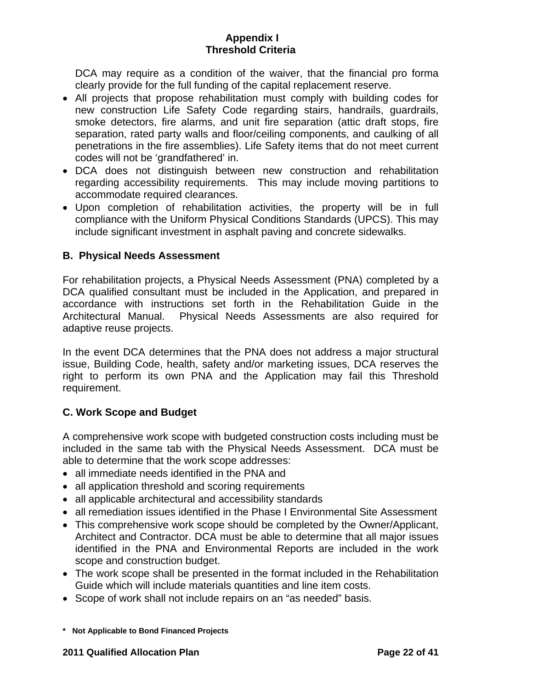DCA may require as a condition of the waiver, that the financial pro forma clearly provide for the full funding of the capital replacement reserve.

- All projects that propose rehabilitation must comply with building codes for new construction Life Safety Code regarding stairs, handrails, guardrails, smoke detectors, fire alarms, and unit fire separation (attic draft stops, fire separation, rated party walls and floor/ceiling components, and caulking of all penetrations in the fire assemblies). Life Safety items that do not meet current codes will not be 'grandfathered' in.
- DCA does not distinguish between new construction and rehabilitation regarding accessibility requirements. This may include moving partitions to accommodate required clearances.
- Upon completion of rehabilitation activities, the property will be in full compliance with the Uniform Physical Conditions Standards (UPCS). This may include significant investment in asphalt paving and concrete sidewalks.

# **B. Physical Needs Assessment**

For rehabilitation projects, a Physical Needs Assessment (PNA) completed by a DCA qualified consultant must be included in the Application, and prepared in accordance with instructions set forth in the Rehabilitation Guide in the Architectural Manual. Physical Needs Assessments are also required for adaptive reuse projects.

In the event DCA determines that the PNA does not address a major structural issue, Building Code, health, safety and/or marketing issues, DCA reserves the right to perform its own PNA and the Application may fail this Threshold requirement.

## **C. Work Scope and Budget**

A comprehensive work scope with budgeted construction costs including must be included in the same tab with the Physical Needs Assessment. DCA must be able to determine that the work scope addresses:

- all immediate needs identified in the PNA and
- all application threshold and scoring requirements
- all applicable architectural and accessibility standards
- all remediation issues identified in the Phase I Environmental Site Assessment
- This comprehensive work scope should be completed by the Owner/Applicant, Architect and Contractor. DCA must be able to determine that all major issues identified in the PNA and Environmental Reports are included in the work scope and construction budget.
- The work scope shall be presented in the format included in the Rehabilitation Guide which will include materials quantities and line item costs.
- Scope of work shall not include repairs on an "as needed" basis.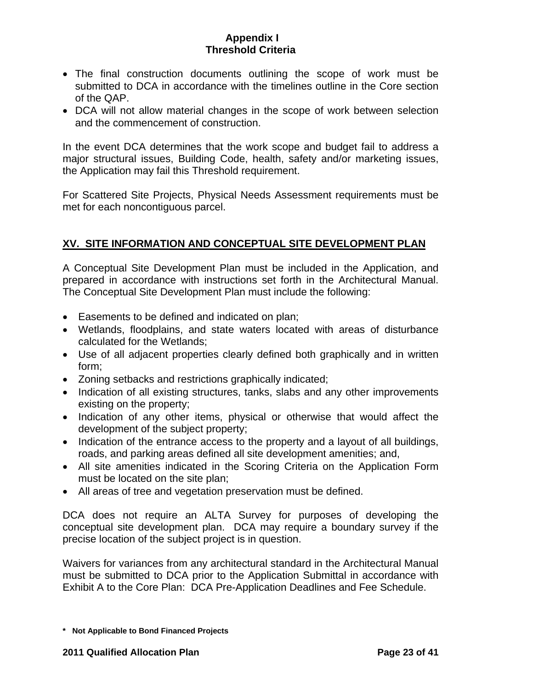- <span id="page-22-0"></span>• The final construction documents outlining the scope of work must be submitted to DCA in accordance with the timelines outline in the Core section of the QAP.
- DCA will not allow material changes in the scope of work between selection and the commencement of construction.

In the event DCA determines that the work scope and budget fail to address a major structural issues, Building Code, health, safety and/or marketing issues, the Application may fail this Threshold requirement.

For Scattered Site Projects, Physical Needs Assessment requirements must be met for each noncontiguous parcel.

# **XV. SITE INFORMATION AND CONCEPTUAL SITE DEVELOPMENT PLAN**

A Conceptual Site Development Plan must be included in the Application, and prepared in accordance with instructions set forth in the Architectural Manual. The Conceptual Site Development Plan must include the following:

- Easements to be defined and indicated on plan;
- Wetlands, floodplains, and state waters located with areas of disturbance calculated for the Wetlands;
- Use of all adjacent properties clearly defined both graphically and in written form;
- Zoning setbacks and restrictions graphically indicated;
- Indication of all existing structures, tanks, slabs and any other improvements existing on the property;
- Indication of any other items, physical or otherwise that would affect the development of the subject property;
- Indication of the entrance access to the property and a layout of all buildings, roads, and parking areas defined all site development amenities; and,
- All site amenities indicated in the Scoring Criteria on the Application Form must be located on the site plan;
- All areas of tree and vegetation preservation must be defined.

DCA does not require an ALTA Survey for purposes of developing the conceptual site development plan. DCA may require a boundary survey if the precise location of the subject project is in question.

Waivers for variances from any architectural standard in the Architectural Manual must be submitted to DCA prior to the Application Submittal in accordance with Exhibit A to the Core Plan: DCA Pre-Application Deadlines and Fee Schedule.

**<sup>\*</sup> Not Applicable to Bond Financed Projects**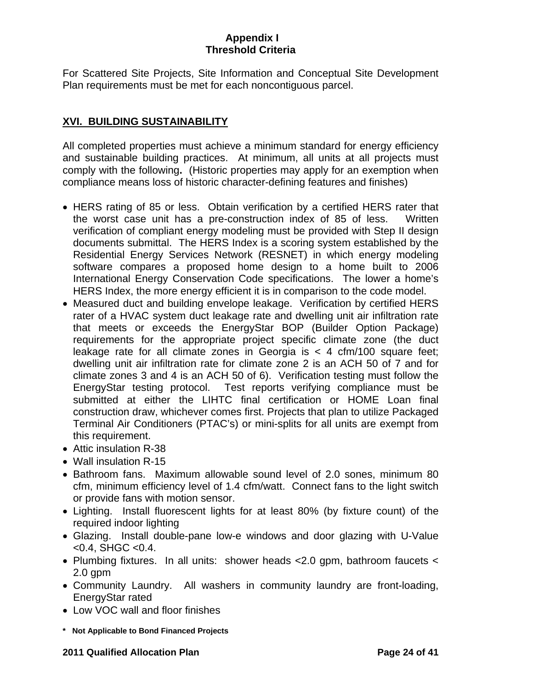<span id="page-23-0"></span>For Scattered Site Projects, Site Information and Conceptual Site Development Plan requirements must be met for each noncontiguous parcel.

# **XVI. BUILDING SUSTAINABILITY**

All completed properties must achieve a minimum standard for energy efficiency and sustainable building practices. At minimum, all units at all projects must comply with the following**.** (Historic properties may apply for an exemption when compliance means loss of historic character-defining features and finishes)

- HERS rating of 85 or less. Obtain verification by a certified HERS rater that the worst case unit has a pre-construction index of 85 of less. Written verification of compliant energy modeling must be provided with Step II design documents submittal. The HERS Index is a scoring system established by the Residential Energy Services Network (RESNET) in which energy modeling software compares a proposed home design to a home built to 2006 International Energy Conservation Code specifications. The lower a home's HERS Index, the more energy efficient it is in comparison to the code model.
- Measured duct and building envelope leakage. Verification by certified HERS rater of a HVAC system duct leakage rate and dwelling unit air infiltration rate that meets or exceeds the EnergyStar BOP (Builder Option Package) requirements for the appropriate project specific climate zone (the duct leakage rate for all climate zones in Georgia is  $<$  4 cfm/100 square feet; dwelling unit air infiltration rate for climate zone 2 is an ACH 50 of 7 and for climate zones 3 and 4 is an ACH 50 of 6). Verification testing must follow the EnergyStar testing protocol. Test reports verifying compliance must be submitted at either the LIHTC final certification or HOME Loan final construction draw, whichever comes first. Projects that plan to utilize Packaged Terminal Air Conditioners (PTAC's) or mini-splits for all units are exempt from this requirement.
- Attic insulation R-38
- Wall insulation R-15
- Bathroom fans. Maximum allowable sound level of 2.0 sones, minimum 80 cfm, minimum efficiency level of 1.4 cfm/watt. Connect fans to the light switch or provide fans with motion sensor.
- Lighting. Install fluorescent lights for at least 80% (by fixture count) of the required indoor lighting
- Glazing. Install double-pane low-e windows and door glazing with U-Value  $<$  0.4, SHGC  $<$  0.4.
- Plumbing fixtures. In all units: shower heads <2.0 gpm, bathroom faucets < 2.0 gpm
- Community Laundry. All washers in community laundry are front-loading, EnergyStar rated
- Low VOC wall and floor finishes
- **\* Not Applicable to Bond Financed Projects**

### **2011 Qualified Allocation Plan Page 24 of 41**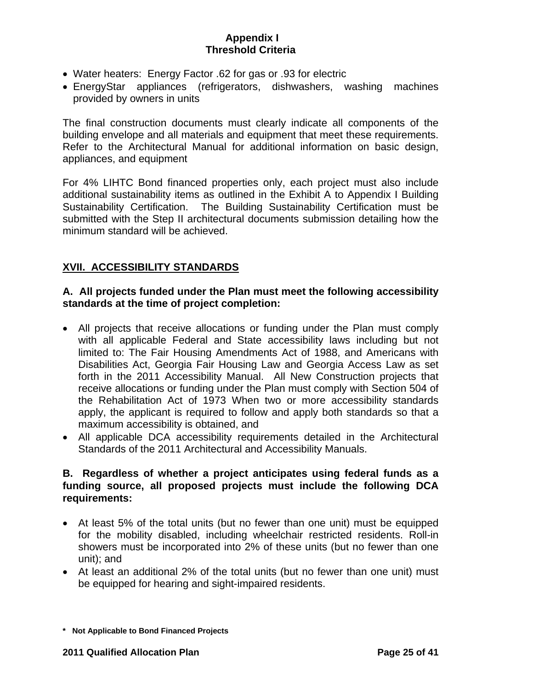- <span id="page-24-0"></span>• Water heaters: Energy Factor .62 for gas or .93 for electric
- EnergyStar appliances (refrigerators, dishwashers, washing machines provided by owners in units

The final construction documents must clearly indicate all components of the building envelope and all materials and equipment that meet these requirements. Refer to the Architectural Manual for additional information on basic design, appliances, and equipment

For 4% LIHTC Bond financed properties only, each project must also include additional sustainability items as outlined in the Exhibit A to Appendix I Building Sustainability Certification. The Building Sustainability Certification must be submitted with the Step II architectural documents submission detailing how the minimum standard will be achieved.

# **XVII. ACCESSIBILITY STANDARDS**

## **A. All projects funded under the Plan must meet the following accessibility standards at the time of project completion:**

- All projects that receive allocations or funding under the Plan must comply with all applicable Federal and State accessibility laws including but not limited to: The Fair Housing Amendments Act of 1988, and Americans with Disabilities Act, Georgia Fair Housing Law and Georgia Access Law as set forth in the 2011 Accessibility Manual. All New Construction projects that receive allocations or funding under the Plan must comply with Section 504 of the Rehabilitation Act of 1973 When two or more accessibility standards apply, the applicant is required to follow and apply both standards so that a maximum accessibility is obtained, and
- All applicable DCA accessibility requirements detailed in the Architectural Standards of the 2011 Architectural and Accessibility Manuals.

# **B. Regardless of whether a project anticipates using federal funds as a funding source, all proposed projects must include the following DCA requirements:**

- At least 5% of the total units (but no fewer than one unit) must be equipped for the mobility disabled, including wheelchair restricted residents. Roll-in showers must be incorporated into 2% of these units (but no fewer than one unit); and
- At least an additional 2% of the total units (but no fewer than one unit) must be equipped for hearing and sight-impaired residents.

**<sup>\*</sup> Not Applicable to Bond Financed Projects**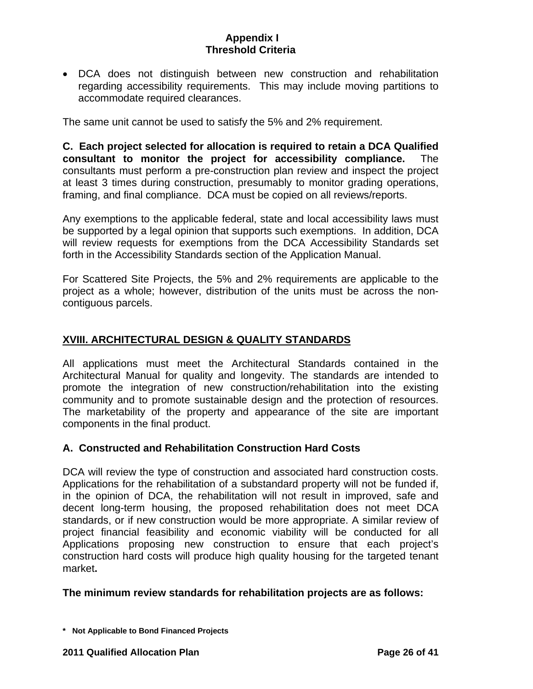• DCA does not distinguish between new construction and rehabilitation regarding accessibility requirements. This may include moving partitions to accommodate required clearances.

The same unit cannot be used to satisfy the 5% and 2% requirement.

**C. Each project selected for allocation is required to retain a DCA Qualified consultant to monitor the project for accessibility compliance.** The consultants must perform a pre-construction plan review and inspect the project at least 3 times during construction, presumably to monitor grading operations, framing, and final compliance. DCA must be copied on all reviews/reports.

Any exemptions to the applicable federal, state and local accessibility laws must be supported by a legal opinion that supports such exemptions. In addition, DCA will review requests for exemptions from the DCA Accessibility Standards set forth in the Accessibility Standards section of the Application Manual.

For Scattered Site Projects, the 5% and 2% requirements are applicable to the project as a whole; however, distribution of the units must be across the noncontiguous parcels.

# **XVIII. ARCHITECTURAL DESIGN & QUALITY STANDARDS**

All applications must meet the Architectural Standards contained in the Architectural Manual for quality and longevity. The standards are intended to promote the integration of new construction/rehabilitation into the existing community and to promote sustainable design and the protection of resources. The marketability of the property and appearance of the site are important components in the final product.

## **A. Constructed and Rehabilitation Construction Hard Costs**

DCA will review the type of construction and associated hard construction costs. Applications for the rehabilitation of a substandard property will not be funded if, in the opinion of DCA, the rehabilitation will not result in improved, safe and decent long-term housing, the proposed rehabilitation does not meet DCA standards, or if new construction would be more appropriate. A similar review of project financial feasibility and economic viability will be conducted for all Applications proposing new construction to ensure that each project's construction hard costs will produce high quality housing for the targeted tenant market**.** 

### **The minimum review standards for rehabilitation projects are as follows:**

**<sup>\*</sup> Not Applicable to Bond Financed Projects**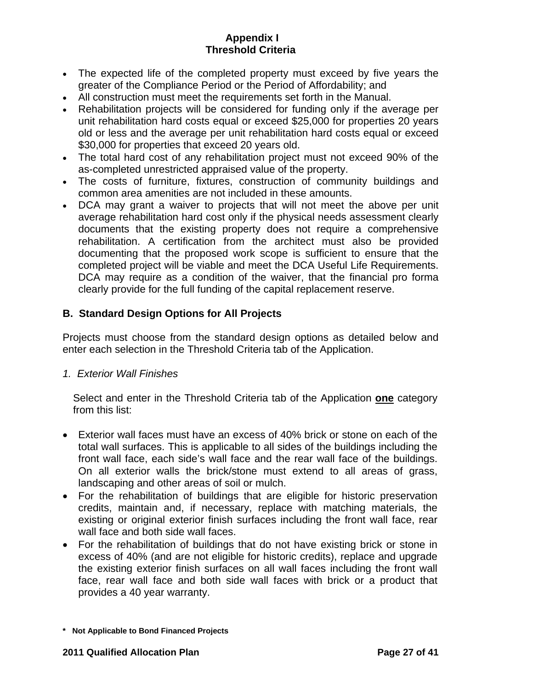- The expected life of the completed property must exceed by five years the greater of the Compliance Period or the Period of Affordability; and
- All construction must meet the requirements set forth in the Manual.
- Rehabilitation projects will be considered for funding only if the average per unit rehabilitation hard costs equal or exceed \$25,000 for properties 20 years old or less and the average per unit rehabilitation hard costs equal or exceed \$30,000 for properties that exceed 20 years old.
- The total hard cost of any rehabilitation project must not exceed 90% of the as-completed unrestricted appraised value of the property.
- The costs of furniture, fixtures, construction of community buildings and common area amenities are not included in these amounts.
- DCA may grant a waiver to projects that will not meet the above per unit average rehabilitation hard cost only if the physical needs assessment clearly documents that the existing property does not require a comprehensive rehabilitation. A certification from the architect must also be provided documenting that the proposed work scope is sufficient to ensure that the completed project will be viable and meet the DCA Useful Life Requirements. DCA may require as a condition of the waiver, that the financial pro forma clearly provide for the full funding of the capital replacement reserve.

# **B. Standard Design Options for All Projects**

Projects must choose from the standard design options as detailed below and enter each selection in the Threshold Criteria tab of the Application.

## *1. Exterior Wall Finishes*

Select and enter in the Threshold Criteria tab of the Application **one** category from this list:

- Exterior wall faces must have an excess of 40% brick or stone on each of the total wall surfaces. This is applicable to all sides of the buildings including the front wall face, each side's wall face and the rear wall face of the buildings. On all exterior walls the brick/stone must extend to all areas of grass, landscaping and other areas of soil or mulch.
- For the rehabilitation of buildings that are eligible for historic preservation credits, maintain and, if necessary, replace with matching materials, the existing or original exterior finish surfaces including the front wall face, rear wall face and both side wall faces.
- For the rehabilitation of buildings that do not have existing brick or stone in excess of 40% (and are not eligible for historic credits), replace and upgrade the existing exterior finish surfaces on all wall faces including the front wall face, rear wall face and both side wall faces with brick or a product that provides a 40 year warranty.

**<sup>\*</sup> Not Applicable to Bond Financed Projects**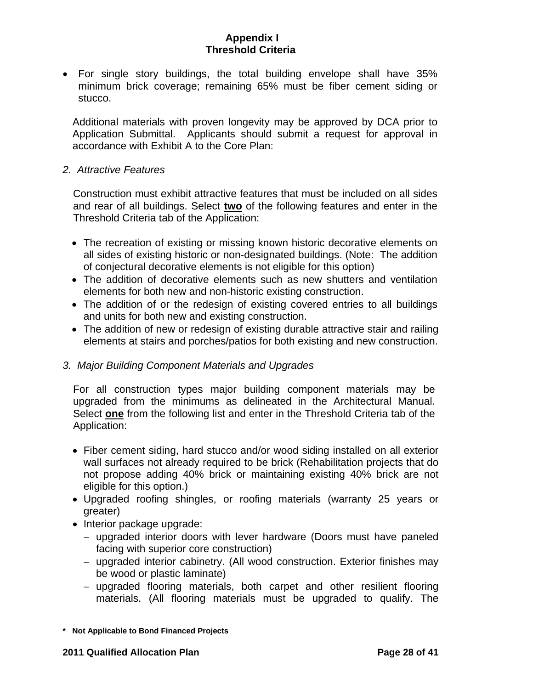• For single story buildings, the total building envelope shall have 35% minimum brick coverage; remaining 65% must be fiber cement siding or stucco.

Additional materials with proven longevity may be approved by DCA prior to Application Submittal. Applicants should submit a request for approval in accordance with Exhibit A to the Core Plan:

### *2. Attractive Features*

Construction must exhibit attractive features that must be included on all sides and rear of all buildings. Select **two** of the following features and enter in the Threshold Criteria tab of the Application:

- The recreation of existing or missing known historic decorative elements on all sides of existing historic or non-designated buildings. (Note: The addition of conjectural decorative elements is not eligible for this option)
- The addition of decorative elements such as new shutters and ventilation elements for both new and non-historic existing construction.
- The addition of or the redesign of existing covered entries to all buildings and units for both new and existing construction.
- The addition of new or redesign of existing durable attractive stair and railing elements at stairs and porches/patios for both existing and new construction.

## *3. Major Building Component Materials and Upgrades*

For all construction types major building component materials may be upgraded from the minimums as delineated in the Architectural Manual. Select **one** from the following list and enter in the Threshold Criteria tab of the Application:

- Fiber cement siding, hard stucco and/or wood siding installed on all exterior wall surfaces not already required to be brick (Rehabilitation projects that do not propose adding 40% brick or maintaining existing 40% brick are not eligible for this option.)
- Upgraded roofing shingles, or roofing materials (warranty 25 years or greater)
- Interior package upgrade:
	- − upgraded interior doors with lever hardware (Doors must have paneled facing with superior core construction)
	- − upgraded interior cabinetry. (All wood construction. Exterior finishes may be wood or plastic laminate)
	- − upgraded flooring materials, both carpet and other resilient flooring materials. (All flooring materials must be upgraded to qualify. The
- **\* Not Applicable to Bond Financed Projects**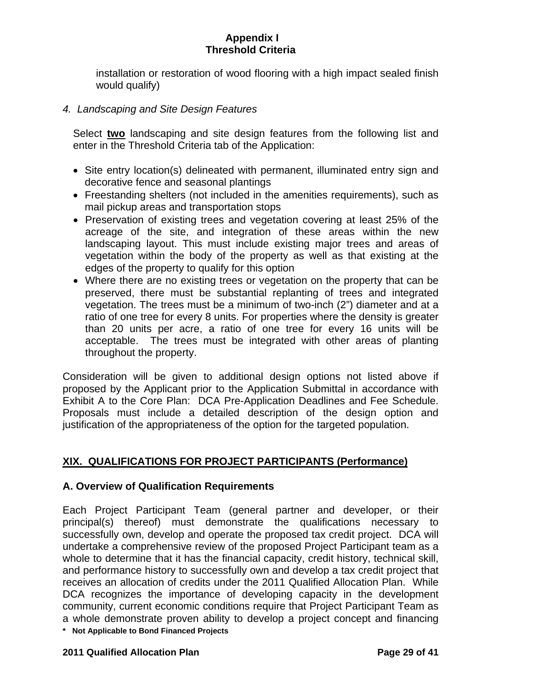installation or restoration of wood flooring with a high impact sealed finish would qualify)

## *4. Landscaping and Site Design Features*

Select **two** landscaping and site design features from the following list and enter in the Threshold Criteria tab of the Application:

- Site entry location(s) delineated with permanent, illuminated entry sign and decorative fence and seasonal plantings
- Freestanding shelters (not included in the amenities requirements), such as mail pickup areas and transportation stops
- Preservation of existing trees and vegetation covering at least 25% of the acreage of the site, and integration of these areas within the new landscaping layout. This must include existing major trees and areas of vegetation within the body of the property as well as that existing at the edges of the property to qualify for this option
- Where there are no existing trees or vegetation on the property that can be preserved, there must be substantial replanting of trees and integrated vegetation. The trees must be a minimum of two-inch (2") diameter and at a ratio of one tree for every 8 units. For properties where the density is greater than 20 units per acre, a ratio of one tree for every 16 units will be acceptable. The trees must be integrated with other areas of planting throughout the property.

Consideration will be given to additional design options not listed above if proposed by the Applicant prior to the Application Submittal in accordance with Exhibit A to the Core Plan: DCA Pre-Application Deadlines and Fee Schedule. Proposals must include a detailed description of the design option and justification of the appropriateness of the option for the targeted population.

# **XIX. QUALIFICATIONS FOR PROJECT PARTICIPANTS (Performance)**

## **A. Overview of Qualification Requirements**

**\* Not Applicable to Bond Financed Projects**  Each Project Participant Team (general partner and developer, or their principal(s) thereof) must demonstrate the qualifications necessary to successfully own, develop and operate the proposed tax credit project. DCA will undertake a comprehensive review of the proposed Project Participant team as a whole to determine that it has the financial capacity, credit history, technical skill, and performance history to successfully own and develop a tax credit project that receives an allocation of credits under the 2011 Qualified Allocation Plan. While DCA recognizes the importance of developing capacity in the development community, current economic conditions require that Project Participant Team as a whole demonstrate proven ability to develop a project concept and financing

#### **2011 Qualified Allocation Plan Page 29 of 41**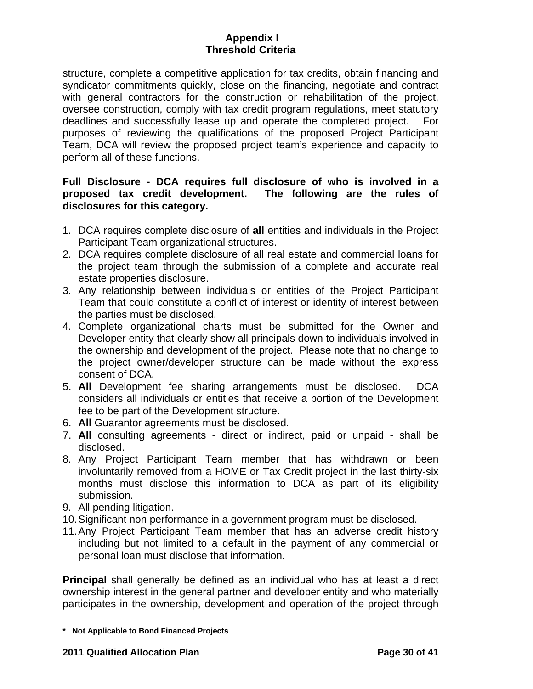structure, complete a competitive application for tax credits, obtain financing and syndicator commitments quickly, close on the financing, negotiate and contract with general contractors for the construction or rehabilitation of the project, oversee construction, comply with tax credit program regulations, meet statutory deadlines and successfully lease up and operate the completed project. For purposes of reviewing the qualifications of the proposed Project Participant Team, DCA will review the proposed project team's experience and capacity to perform all of these functions.

## **Full Disclosure - DCA requires full disclosure of who is involved in a proposed tax credit development. The following are the rules of disclosures for this category.**

- 1. DCA requires complete disclosure of **all** entities and individuals in the Project Participant Team organizational structures.
- 2. DCA requires complete disclosure of all real estate and commercial loans for the project team through the submission of a complete and accurate real estate properties disclosure.
- 3. Any relationship between individuals or entities of the Project Participant Team that could constitute a conflict of interest or identity of interest between the parties must be disclosed.
- 4. Complete organizational charts must be submitted for the Owner and Developer entity that clearly show all principals down to individuals involved in the ownership and development of the project. Please note that no change to the project owner/developer structure can be made without the express consent of DCA.
- 5. **All** Development fee sharing arrangements must be disclosed. DCA considers all individuals or entities that receive a portion of the Development fee to be part of the Development structure.
- 6. **All** Guarantor agreements must be disclosed.
- 7. **All** consulting agreements direct or indirect, paid or unpaid shall be disclosed.
- 8. Any Project Participant Team member that has withdrawn or been involuntarily removed from a HOME or Tax Credit project in the last thirty-six months must disclose this information to DCA as part of its eligibility submission.
- 9. All pending litigation.
- 10. Significant non performance in a government program must be disclosed.
- 11. Any Project Participant Team member that has an adverse credit history including but not limited to a default in the payment of any commercial or personal loan must disclose that information.

**Principal** shall generally be defined as an individual who has at least a direct ownership interest in the general partner and developer entity and who materially participates in the ownership, development and operation of the project through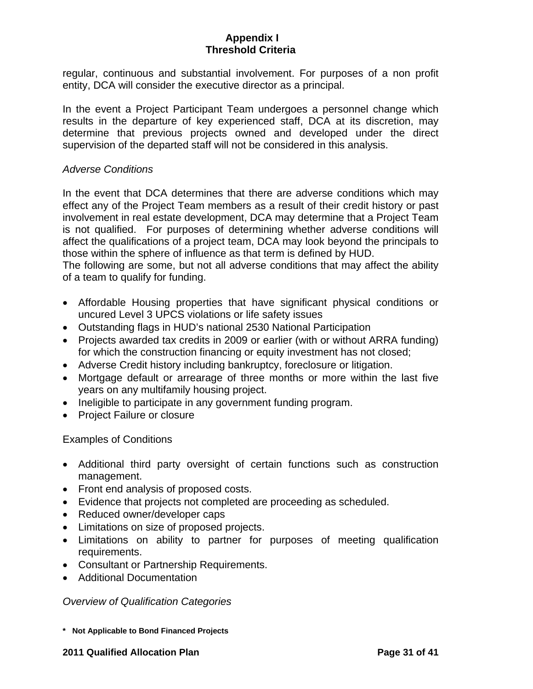regular, continuous and substantial involvement. For purposes of a non profit entity, DCA will consider the executive director as a principal.

In the event a Project Participant Team undergoes a personnel change which results in the departure of key experienced staff, DCA at its discretion, may determine that previous projects owned and developed under the direct supervision of the departed staff will not be considered in this analysis.

### *Adverse Conditions*

In the event that DCA determines that there are adverse conditions which may effect any of the Project Team members as a result of their credit history or past involvement in real estate development, DCA may determine that a Project Team is not qualified. For purposes of determining whether adverse conditions will affect the qualifications of a project team, DCA may look beyond the principals to those within the sphere of influence as that term is defined by HUD.

The following are some, but not all adverse conditions that may affect the ability of a team to qualify for funding.

- Affordable Housing properties that have significant physical conditions or uncured Level 3 UPCS violations or life safety issues
- Outstanding flags in HUD's national 2530 National Participation
- Projects awarded tax credits in 2009 or earlier (with or without ARRA funding) for which the construction financing or equity investment has not closed;
- Adverse Credit history including bankruptcy, foreclosure or litigation.
- Mortgage default or arrearage of three months or more within the last five years on any multifamily housing project.
- Ineligible to participate in any government funding program.
- Project Failure or closure

Examples of Conditions

- Additional third party oversight of certain functions such as construction management.
- Front end analysis of proposed costs.
- Evidence that projects not completed are proceeding as scheduled.
- Reduced owner/developer caps
- Limitations on size of proposed projects.
- Limitations on ability to partner for purposes of meeting qualification requirements.
- Consultant or Partnership Requirements.
- Additional Documentation

*Overview of Qualification Categories* 

**\* Not Applicable to Bond Financed Projects** 

#### **2011 Qualified Allocation Plan Page 31 of 41**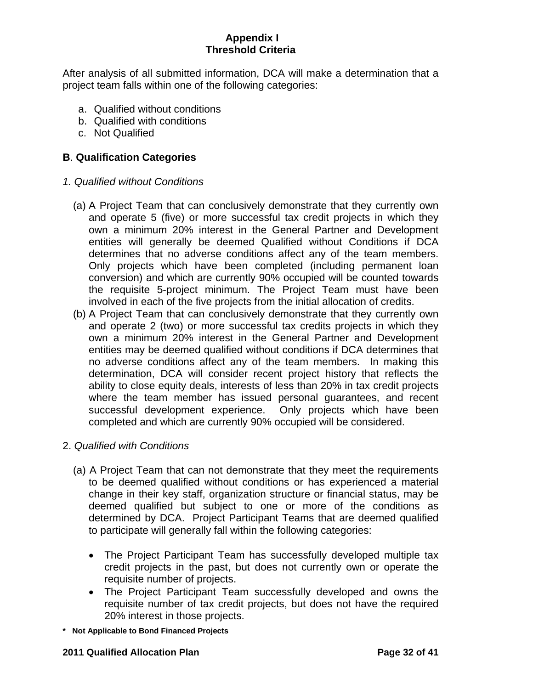After analysis of all submitted information, DCA will make a determination that a project team falls within one of the following categories:

- a. Qualified without conditions
- b. Qualified with conditions
- c. Not Qualified

# **B**. **Qualification Categories**

- *1. Qualified without Conditions* 
	- (a) A Project Team that can conclusively demonstrate that they currently own and operate 5 (five) or more successful tax credit projects in which they own a minimum 20% interest in the General Partner and Development entities will generally be deemed Qualified without Conditions if DCA determines that no adverse conditions affect any of the team members. Only projects which have been completed (including permanent loan conversion) and which are currently 90% occupied will be counted towards the requisite 5-project minimum. The Project Team must have been involved in each of the five projects from the initial allocation of credits.
	- (b) A Project Team that can conclusively demonstrate that they currently own and operate 2 (two) or more successful tax credits projects in which they own a minimum 20% interest in the General Partner and Development entities may be deemed qualified without conditions if DCA determines that no adverse conditions affect any of the team members. In making this determination, DCA will consider recent project history that reflects the ability to close equity deals, interests of less than 20% in tax credit projects where the team member has issued personal guarantees, and recent successful development experience. Only projects which have been completed and which are currently 90% occupied will be considered.
- 2. *Qualified with Conditions*
	- (a) A Project Team that can not demonstrate that they meet the requirements to be deemed qualified without conditions or has experienced a material change in their key staff, organization structure or financial status, may be deemed qualified but subject to one or more of the conditions as determined by DCA. Project Participant Teams that are deemed qualified to participate will generally fall within the following categories:
		- The Project Participant Team has successfully developed multiple tax credit projects in the past, but does not currently own or operate the requisite number of projects.
		- The Project Participant Team successfully developed and owns the requisite number of tax credit projects, but does not have the required 20% interest in those projects.
- **\* Not Applicable to Bond Financed Projects**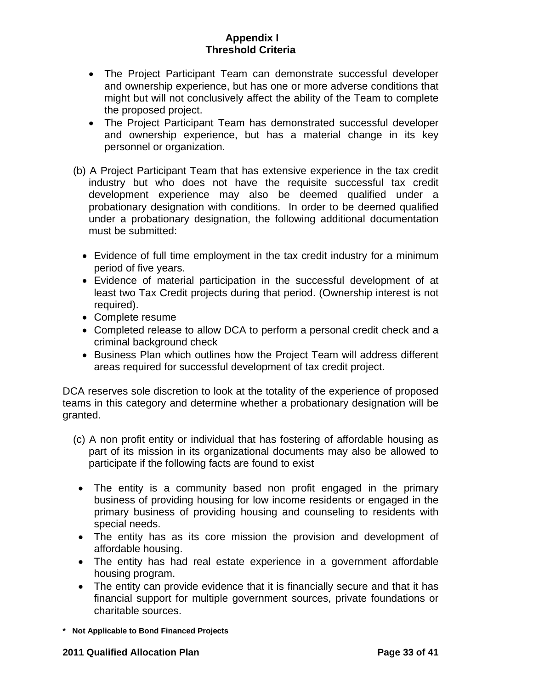- The Project Participant Team can demonstrate successful developer and ownership experience, but has one or more adverse conditions that might but will not conclusively affect the ability of the Team to complete the proposed project.
- The Project Participant Team has demonstrated successful developer and ownership experience, but has a material change in its key personnel or organization.
- (b) A Project Participant Team that has extensive experience in the tax credit industry but who does not have the requisite successful tax credit development experience may also be deemed qualified under a probationary designation with conditions. In order to be deemed qualified under a probationary designation, the following additional documentation must be submitted:
	- Evidence of full time employment in the tax credit industry for a minimum period of five years.
	- Evidence of material participation in the successful development of at least two Tax Credit projects during that period. (Ownership interest is not required).
	- Complete resume
	- Completed release to allow DCA to perform a personal credit check and a criminal background check
	- Business Plan which outlines how the Project Team will address different areas required for successful development of tax credit project.

DCA reserves sole discretion to look at the totality of the experience of proposed teams in this category and determine whether a probationary designation will be granted.

- (c) A non profit entity or individual that has fostering of affordable housing as part of its mission in its organizational documents may also be allowed to participate if the following facts are found to exist
	- The entity is a community based non profit engaged in the primary business of providing housing for low income residents or engaged in the primary business of providing housing and counseling to residents with special needs.
- The entity has as its core mission the provision and development of affordable housing.
- The entity has had real estate experience in a government affordable housing program.
- The entity can provide evidence that it is financially secure and that it has financial support for multiple government sources, private foundations or charitable sources.
- **\* Not Applicable to Bond Financed Projects**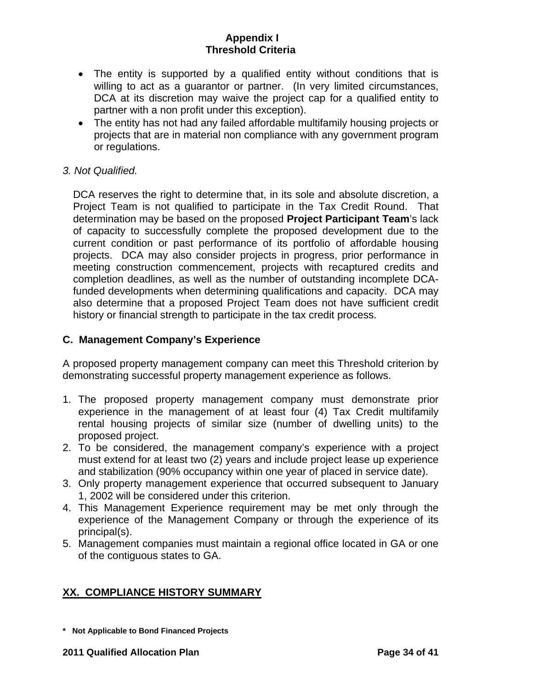- <span id="page-33-0"></span>• The entity is supported by a qualified entity without conditions that is willing to act as a guarantor or partner. (In very limited circumstances, DCA at its discretion may waive the project cap for a qualified entity to partner with a non profit under this exception).
- The entity has not had any failed affordable multifamily housing projects or projects that are in material non compliance with any government program or regulations.

## *3. Not Qualified.*

DCA reserves the right to determine that, in its sole and absolute discretion, a Project Team is not qualified to participate in the Tax Credit Round. That determination may be based on the proposed **Project Participant Team**'s lack of capacity to successfully complete the proposed development due to the current condition or past performance of its portfolio of affordable housing projects. DCA may also consider projects in progress, prior performance in meeting construction commencement, projects with recaptured credits and completion deadlines, as well as the number of outstanding incomplete DCAfunded developments when determining qualifications and capacity. DCA may also determine that a proposed Project Team does not have sufficient credit history or financial strength to participate in the tax credit process.

### **C. Management Company's Experience**

A proposed property management company can meet this Threshold criterion by demonstrating successful property management experience as follows.

- 1. The proposed property management company must demonstrate prior experience in the management of at least four (4) Tax Credit multifamily rental housing projects of similar size (number of dwelling units) to the proposed project.
- 2. To be considered, the management company's experience with a project must extend for at least two (2) years and include project lease up experience and stabilization (90% occupancy within one year of placed in service date).
- 3. Only property management experience that occurred subsequent to January 1, 2002 will be considered under this criterion.
- 4. This Management Experience requirement may be met only through the experience of the Management Company or through the experience of its principal(s).
- 5. Management companies must maintain a regional office located in GA or one of the contiguous states to GA.

# **XX. COMPLIANCE HISTORY SUMMARY**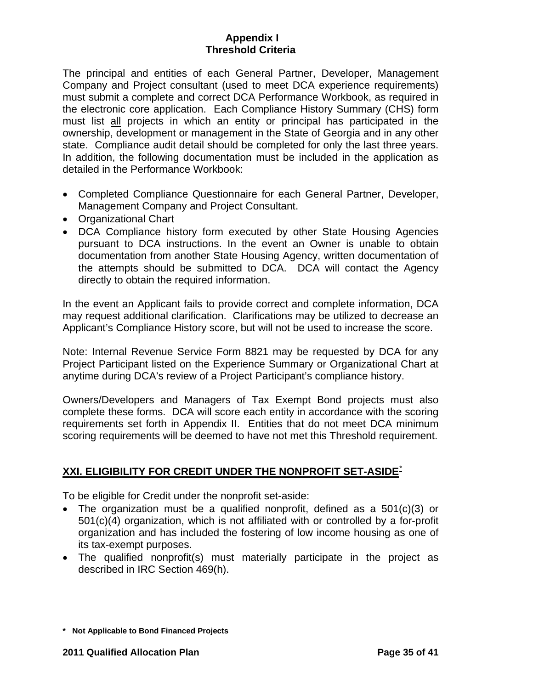<span id="page-34-0"></span>The principal and entities of each General Partner, Developer, Management Company and Project consultant (used to meet DCA experience requirements) must submit a complete and correct DCA Performance Workbook, as required in the electronic core application. Each Compliance History Summary (CHS) form must list all projects in which an entity or principal has participated in the ownership, development or management in the State of Georgia and in any other state. Compliance audit detail should be completed for only the last three years. In addition, the following documentation must be included in the application as detailed in the Performance Workbook:

- Completed Compliance Questionnaire for each General Partner, Developer, Management Company and Project Consultant.
- Organizational Chart
- DCA Compliance history form executed by other State Housing Agencies pursuant to DCA instructions. In the event an Owner is unable to obtain documentation from another State Housing Agency, written documentation of the attempts should be submitted to DCA. DCA will contact the Agency directly to obtain the required information.

In the event an Applicant fails to provide correct and complete information, DCA may request additional clarification. Clarifications may be utilized to decrease an Applicant's Compliance History score, but will not be used to increase the score.

Note: Internal Revenue Service Form 8821 may be requested by DCA for any Project Participant listed on the Experience Summary or Organizational Chart at anytime during DCA's review of a Project Participant's compliance history.

Owners/Developers and Managers of Tax Exempt Bond projects must also complete these forms. DCA will score each entity in accordance with the scoring requirements set forth in Appendix II. Entities that do not meet DCA minimum scoring requirements will be deemed to have not met this Threshold requirement.

## **XXI. ELIGIBILITY FOR CREDIT UNDER THE NONPROFIT SET-ASIDE**[\\*](#page-34-1)

To be eligible for Credit under the nonprofit set-aside:

- The organization must be a qualified nonprofit, defined as a 501(c)(3) or 501(c)(4) organization, which is not affiliated with or controlled by a for-profit organization and has included the fostering of low income housing as one of its tax-exempt purposes.
- The qualified nonprofit(s) must materially participate in the project as described in IRC Section 469(h).

<span id="page-34-1"></span>**<sup>\*</sup> Not Applicable to Bond Financed Projects**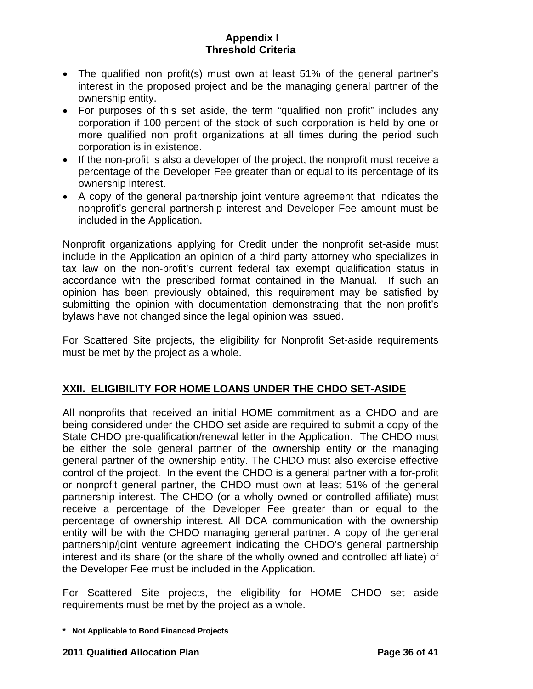- The qualified non profit(s) must own at least 51% of the general partner's interest in the proposed project and be the managing general partner of the ownership entity.
- For purposes of this set aside, the term "qualified non profit" includes any corporation if 100 percent of the stock of such corporation is held by one or more qualified non profit organizations at all times during the period such corporation is in existence.
- If the non-profit is also a developer of the project, the nonprofit must receive a percentage of the Developer Fee greater than or equal to its percentage of its ownership interest.
- A copy of the general partnership joint venture agreement that indicates the nonprofit's general partnership interest and Developer Fee amount must be included in the Application.

Nonprofit organizations applying for Credit under the nonprofit set-aside must include in the Application an opinion of a third party attorney who specializes in tax law on the non-profit's current federal tax exempt qualification status in accordance with the prescribed format contained in the Manual. If such an opinion has been previously obtained, this requirement may be satisfied by submitting the opinion with documentation demonstrating that the non-profit's bylaws have not changed since the legal opinion was issued.

For Scattered Site projects, the eligibility for Nonprofit Set-aside requirements must be met by the project as a whole.

# **XXII. ELIGIBILITY FOR HOME LOANS UNDER THE CHDO SET-ASIDE**

All nonprofits that received an initial HOME commitment as a CHDO and are being considered under the CHDO set aside are required to submit a copy of the State CHDO pre-qualification/renewal letter in the Application. The CHDO must be either the sole general partner of the ownership entity or the managing general partner of the ownership entity. The CHDO must also exercise effective control of the project. In the event the CHDO is a general partner with a for-profit or nonprofit general partner, the CHDO must own at least 51% of the general partnership interest. The CHDO (or a wholly owned or controlled affiliate) must receive a percentage of the Developer Fee greater than or equal to the percentage of ownership interest. All DCA communication with the ownership entity will be with the CHDO managing general partner. A copy of the general partnership/joint venture agreement indicating the CHDO's general partnership interest and its share (or the share of the wholly owned and controlled affiliate) of the Developer Fee must be included in the Application.

For Scattered Site projects, the eligibility for HOME CHDO set aside requirements must be met by the project as a whole.

**<sup>\*</sup> Not Applicable to Bond Financed Projects**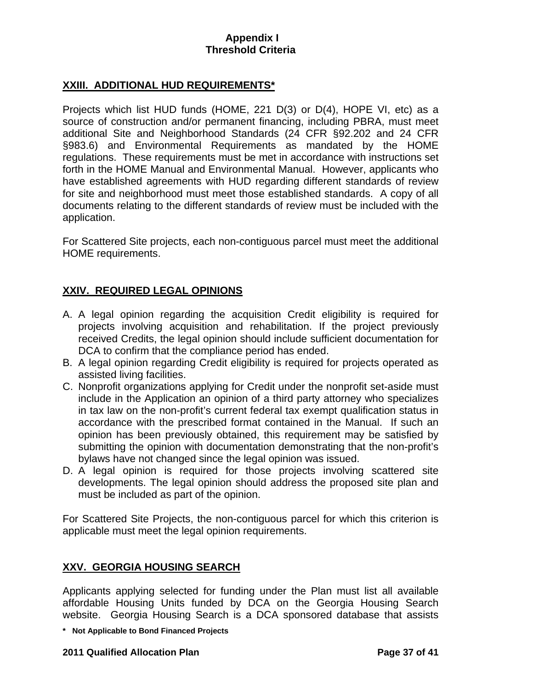## <span id="page-36-0"></span>**XXIII. ADDITIONAL HUD REQUIREMENTS\***

Projects which list HUD funds (HOME, 221 D(3) or D(4), HOPE VI, etc) as a source of construction and/or permanent financing, including PBRA, must meet additional Site and Neighborhood Standards (24 CFR §92.202 and 24 CFR §983.6) and Environmental Requirements as mandated by the HOME regulations. These requirements must be met in accordance with instructions set forth in the HOME Manual and Environmental Manual. However, applicants who have established agreements with HUD regarding different standards of review for site and neighborhood must meet those established standards. A copy of all documents relating to the different standards of review must be included with the application.

For Scattered Site projects, each non-contiguous parcel must meet the additional HOME requirements.

# **XXIV. REQUIRED LEGAL OPINIONS**

- A. A legal opinion regarding the acquisition Credit eligibility is required for projects involving acquisition and rehabilitation. If the project previously received Credits, the legal opinion should include sufficient documentation for DCA to confirm that the compliance period has ended.
- B. A legal opinion regarding Credit eligibility is required for projects operated as assisted living facilities.
- C. Nonprofit organizations applying for Credit under the nonprofit set-aside must include in the Application an opinion of a third party attorney who specializes in tax law on the non-profit's current federal tax exempt qualification status in accordance with the prescribed format contained in the Manual. If such an opinion has been previously obtained, this requirement may be satisfied by submitting the opinion with documentation demonstrating that the non-profit's bylaws have not changed since the legal opinion was issued.
- D. A legal opinion is required for those projects involving scattered site developments. The legal opinion should address the proposed site plan and must be included as part of the opinion.

For Scattered Site Projects, the non-contiguous parcel for which this criterion is applicable must meet the legal opinion requirements.

## **XXV. GEORGIA HOUSING SEARCH**

Applicants applying selected for funding under the Plan must list all available affordable Housing Units funded by DCA on the Georgia Housing Search website. Georgia Housing Search is a DCA sponsored database that assists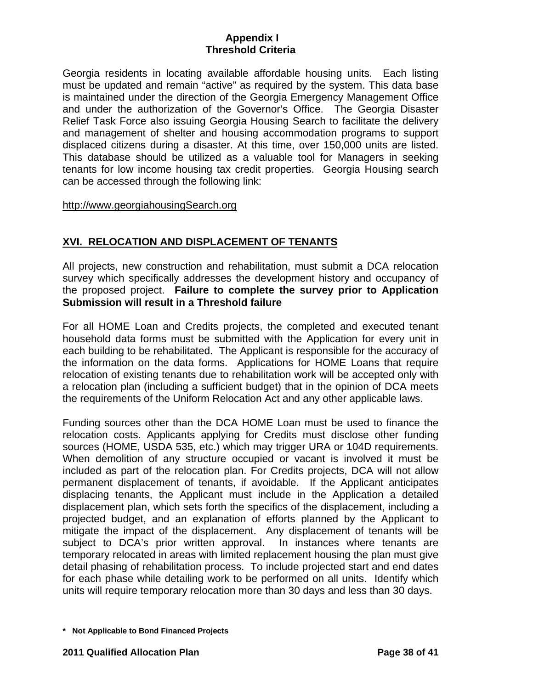<span id="page-37-0"></span>Georgia residents in locating available affordable housing units. Each listing must be updated and remain "active" as required by the system. This data base is maintained under the direction of the Georgia Emergency Management Office and under the authorization of the Governor's Office. The Georgia Disaster Relief Task Force also issuing Georgia Housing Search to facilitate the delivery and management of shelter and housing accommodation programs to support displaced citizens during a disaster. At this time, over 150,000 units are listed. This database should be utilized as a valuable tool for Managers in seeking tenants for low income housing tax credit properties. Georgia Housing search can be accessed through the following link:

### http://www.georgiahousingSearch.org

# **XVI. RELOCATION AND DISPLACEMENT OF TENANTS**

All projects, new construction and rehabilitation, must submit a DCA relocation survey which specifically addresses the development history and occupancy of the proposed project. **Failure to complete the survey prior to Application Submission will result in a Threshold failure** 

For all HOME Loan and Credits projects, the completed and executed tenant household data forms must be submitted with the Application for every unit in each building to be rehabilitated. The Applicant is responsible for the accuracy of the information on the data forms. Applications for HOME Loans that require relocation of existing tenants due to rehabilitation work will be accepted only with a relocation plan (including a sufficient budget) that in the opinion of DCA meets the requirements of the Uniform Relocation Act and any other applicable laws.

Funding sources other than the DCA HOME Loan must be used to finance the relocation costs. Applicants applying for Credits must disclose other funding sources (HOME, USDA 535, etc.) which may trigger URA or 104D requirements. When demolition of any structure occupied or vacant is involved it must be included as part of the relocation plan. For Credits projects, DCA will not allow permanent displacement of tenants, if avoidable. If the Applicant anticipates displacing tenants, the Applicant must include in the Application a detailed displacement plan, which sets forth the specifics of the displacement, including a projected budget, and an explanation of efforts planned by the Applicant to mitigate the impact of the displacement. Any displacement of tenants will be subject to DCA's prior written approval. In instances where tenants are temporary relocated in areas with limited replacement housing the plan must give detail phasing of rehabilitation process. To include projected start and end dates for each phase while detailing work to be performed on all units. Identify which units will require temporary relocation more than 30 days and less than 30 days.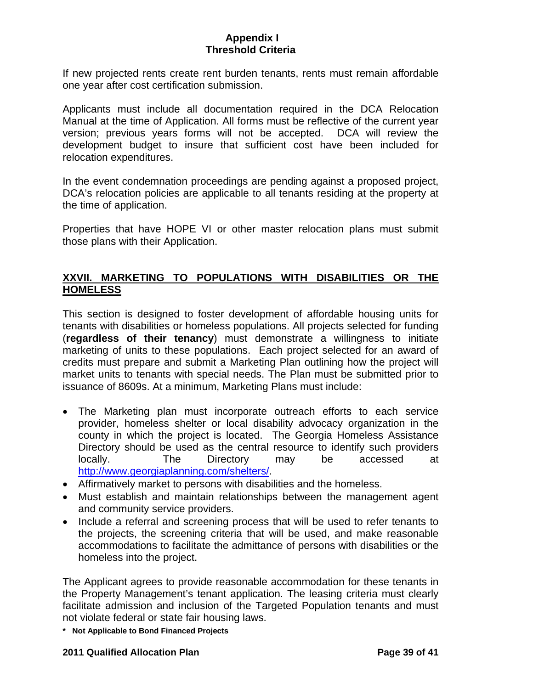<span id="page-38-0"></span>If new projected rents create rent burden tenants, rents must remain affordable one year after cost certification submission.

Applicants must include all documentation required in the DCA Relocation Manual at the time of Application. All forms must be reflective of the current year version; previous years forms will not be accepted. DCA will review the development budget to insure that sufficient cost have been included for relocation expenditures.

In the event condemnation proceedings are pending against a proposed project, DCA's relocation policies are applicable to all tenants residing at the property at the time of application.

Properties that have HOPE VI or other master relocation plans must submit those plans with their Application.

# **XXVII. MARKETING TO POPULATIONS WITH DISABILITIES OR THE HOMELESS**

This section is designed to foster development of affordable housing units for tenants with disabilities or homeless populations. All projects selected for funding (**regardless of their tenancy**) must demonstrate a willingness to initiate marketing of units to these populations. Each project selected for an award of credits must prepare and submit a Marketing Plan outlining how the project will market units to tenants with special needs. The Plan must be submitted prior to issuance of 8609s. At a minimum, Marketing Plans must include:

- The Marketing plan must incorporate outreach efforts to each service provider, homeless shelter or local disability advocacy organization in the county in which the project is located. The Georgia Homeless Assistance Directory should be used as the central resource to identify such providers locally. The Directory may be accessed at <http://www.georgiaplanning.com/shelters/>.
- Affirmatively market to persons with disabilities and the homeless.
- Must establish and maintain relationships between the management agent and community service providers.
- Include a referral and screening process that will be used to refer tenants to the projects, the screening criteria that will be used, and make reasonable accommodations to facilitate the admittance of persons with disabilities or the homeless into the project.

The Applicant agrees to provide reasonable accommodation for these tenants in the Property Management's tenant application. The leasing criteria must clearly facilitate admission and inclusion of the Targeted Population tenants and must not violate federal or state fair housing laws.

**\* Not Applicable to Bond Financed Projects** 

### **2011 Qualified Allocation Plan Page 39 of 41**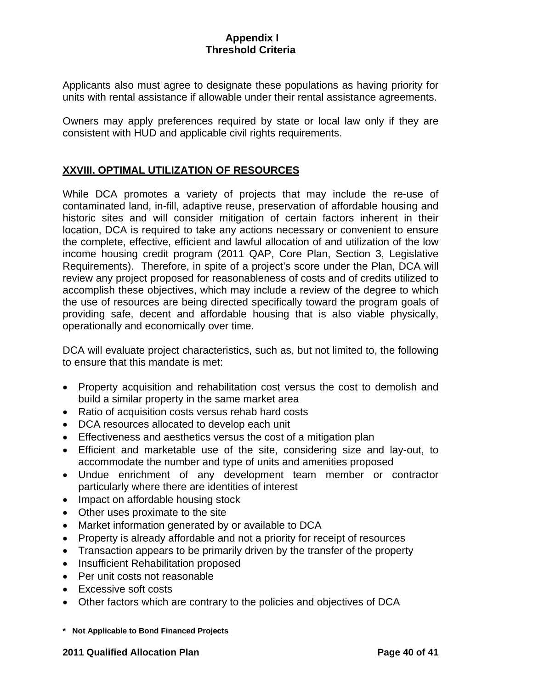<span id="page-39-0"></span>Applicants also must agree to designate these populations as having priority for units with rental assistance if allowable under their rental assistance agreements.

Owners may apply preferences required by state or local law only if they are consistent with HUD and applicable civil rights requirements.

## **XXVIII. OPTIMAL UTILIZATION OF RESOURCES**

While DCA promotes a variety of projects that may include the re-use of contaminated land, in-fill, adaptive reuse, preservation of affordable housing and historic sites and will consider mitigation of certain factors inherent in their location, DCA is required to take any actions necessary or convenient to ensure the complete, effective, efficient and lawful allocation of and utilization of the low income housing credit program (2011 QAP, Core Plan, Section 3, Legislative Requirements). Therefore, in spite of a project's score under the Plan, DCA will review any project proposed for reasonableness of costs and of credits utilized to accomplish these objectives, which may include a review of the degree to which the use of resources are being directed specifically toward the program goals of providing safe, decent and affordable housing that is also viable physically, operationally and economically over time.

DCA will evaluate project characteristics, such as, but not limited to, the following to ensure that this mandate is met:

- Property acquisition and rehabilitation cost versus the cost to demolish and build a similar property in the same market area
- Ratio of acquisition costs versus rehab hard costs
- DCA resources allocated to develop each unit
- Effectiveness and aesthetics versus the cost of a mitigation plan
- Efficient and marketable use of the site, considering size and lay-out, to accommodate the number and type of units and amenities proposed
- Undue enrichment of any development team member or contractor particularly where there are identities of interest
- Impact on affordable housing stock
- Other uses proximate to the site
- Market information generated by or available to DCA
- Property is already affordable and not a priority for receipt of resources
- Transaction appears to be primarily driven by the transfer of the property
- Insufficient Rehabilitation proposed
- Per unit costs not reasonable
- Excessive soft costs
- Other factors which are contrary to the policies and objectives of DCA
- **\* Not Applicable to Bond Financed Projects**

#### **2011 Qualified Allocation Plan Page 40 of 41**